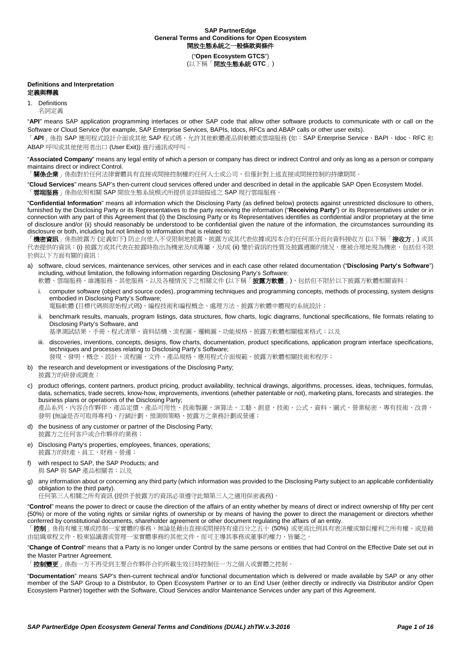("**Open Ecosystem GTCS**") (以下稱「開放生態系統 **GTC**」)

# **Definitions and Interpretation**

定義與釋義

1. Definitions 名詞定義

"**API**" means SAP application programming interfaces or other SAP code that allow other software products to communicate with or call on the Software or Cloud Service (for example, SAP Enterprise Services, BAPIs, Idocs, RFCs and ABAP calls or other user exits).

「API」係指 SAP 應用程式設計介面或其他 SAP 程式碼,允許其他軟體產品與軟體或雲端服務 (如: SAP Enterprise Service、BAPI、Idoc、RFC 和 ABAP 呼叫或其他使用者出口 (User Exit)) 進行通訊或呼叫。

"**Associated Company**" means any legal entity of which a person or company has direct or indirect Control and only as long as a person or company maintains direct or indirect Control.

「關係企業」係指對於任何法律實體具有直接或間接控制權的任何人士或公司,但僅針對上述直接或間接控制的持續期間。

"**Cloud Services**" means SAP's then-current cloud services offered under and described in detail in the applicable SAP Open Ecosystem Model. 「**雲端服務**」係指依照相關 SAP 開放生態系統模式所提供並詳細描述之 SAP 現行雲端服務。

"**Confidential Information**" means all information which the Disclosing Party (as defined below) protects against unrestricted disclosure to others, furnished by the Disclosing Party or its Representatives to the party receiving the information ("**Receiving Party**") or its Representatives under or in connection with any part of this Agreement that (i) the Disclosing Party or its Representatives identifies as confidential and/or proprietary at the time of disclosure and/or (ii) should reasonably be understood to be confidential given the nature of the information, the circumstances surrounding its disclosure or both, including but not limited to information that is related to:

機密資訊」係指披露方 (定義如下) 防止向他人不受限制地披露、披露方或其代表依據或因本合約任何部分而向資料接收方 (以下稱「接收方」) 或其 代表提供的資訊:(i) 披露方或其代表在披露時指出為機密及/或專屬,及/或 (ii) 鑒於資訊的性質及披露週圍的情況,應被合理地視為機密,包括但不限 於與以下方面有關的資訊:

a) software, cloud services, maintenance services, other services and in each case other related documentation ("**Disclosing Party's Software**") including, without limitation, the following information regarding Disclosing Party's Software:

軟體、雲端服務、維護服務、其他服務、以及各種情況下之相關文件 (以下稱「**披露方軟體**」), 包括但不限於以下披露方軟體相關資料:

i. computer software (object and source codes), programming techniques and programming concepts, methods of processing, system designs embodied in Disclosing Party's Software;

電腦軟體 (目標代碼與原始程式碼)、編程技術和編程概念、處理方法、披露方軟體中體現的系統設計;

ii. benchmark results, manuals, program listings, data structures, flow charts, logic diagrams, functional specifications, file formats relating to Disclosing Party's Software, and

基準測試結果、手冊、程式清單、資料結構、流程圖、邏輯圖、功能規格、披露方軟體相關檔案格式;以及

iii. discoveries, inventions, concepts, designs, flow charts, documentation, product specifications, application program interface specifications, techniques and processes relating to Disclosing Party's Software;

發現、發明、概念、設計、流程圖、文件、產品規格、應用程式介面規範、披露方軟體相關技術和程序;

- b) the research and development or investigations of the Disclosing Party; 披露方的研發或調查;
- c) product offerings, content partners, product pricing, product availability, technical drawings, algorithms, processes, ideas, techniques, formulas, data, schematics, trade secrets, know-how, improvements, inventions (whether patentable or not), marketing plans, forecasts and strategies. the business plans or operations of the Disclosing Party; 產品系列、內容合作夥伴、產品定價、產品可用性、技術製圖、演算法、工藝、創意、技術、公式、資料、圖式、營業秘密、專有技術、改善、
- 發明 (無論是否可取得專利)、行銷計劃、預測與策略、披露方之業務計劃或營運;
- d) the business of any customer or partner of the Disclosing Party; 披露方之任何客戶或合作夥伴的業務;
- e) Disclosing Party's properties, employees, finances, operations; 披露方的財產、員工、財務、營運;
- f) with respect to SAP, the SAP Products; and 與 SAP 與 SAP 產品相關者;以及
- g) any information about or concerning any third party (which information was provided to the Disclosing Party subject to an applicable confidentiality obligation to the third party).

任何第三人相關之所有資訊 (提供予披露方的資訊必須遵守此類第三人之適用保密義務)。

"**Control**" means the power to direct or cause the direction of the affairs of an entity whether by means of direct or indirect ownership of fifty per cent (50%) or more of the voting rights or similar rights of ownership or by means of having the power to direct the management or directors whether conferred by constitutional documents, shareholder agreement or other document regulating the affairs of an entity.

「**控制**」係指有權主導或控制一家實體的事務,無論是藉由直接或間接持有達百分之五十 (50%) 或更高比例具有表決權或類似權利之所有權、或是藉 由組織章程文件、股東協議書或管理一家實體事務的其他文件,而可主導其事務或董事的權力,皆屬之

"**Change of Control**" means that a Party is no longer under Control by the same persons or entities that had Control on the Effective Date set out in the Master Partner Agreement.

「**控制變更**」係指一方不再受到主要合作夥伴合約所載生效日時控制任一方之個人或實體之控制。

"**Documentation**" means SAP's then-current technical and/or functional documentation which is delivered or made available by SAP or any other member of the SAP Group to a Distributor, to Open Ecosystem Partner or to an End User (either directly or indirectly via Distributor and/or Open Ecosystem Partner) together with the Software, Cloud Services and/or Maintenance Services under any part of this Agreement.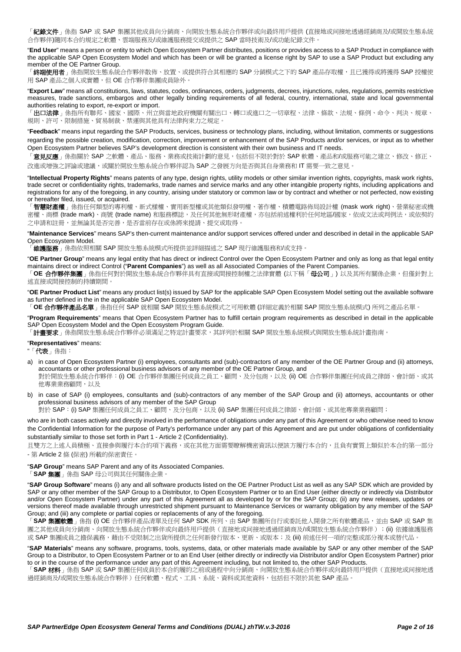「**紀錄文件**」係指 SAP 或 SAP 集團其他成員向分銷商、向開放生態系統合作夥伴或向最終用戶提供 (直接地或间接地透過經銷商及/或開放生態系統 合作夥伴)隨同本合約規定之軟體、雲端服務及/或維護服務提交或提供之 SAP 當時技術及/或功能紀錄文件。

"**End User**" means a person or entity to which Open Ecosystem Partner distributes, positions or provides access to a SAP Product in compliance with the applicable SAP Open Ecosystem Model and which has been or will be granted a license right by SAP to use a SAP Product but excluding any member of the OE Partner Group.

「**終端使用者**」係指開放生態系統合作夥伴散佈、放置、或提供符合其相應的 SAP 分銷模式之下的 SAP 產品存取權,且已獲得或將獲得 SAP 授權使 用 SAP 產品之個人或實體,但 OE 合作夥伴集團成員除外。

"**Export Law**" means all constitutions, laws, statutes, codes, ordinances, orders, judgments, decrees, injunctions, rules, regulations, permits restrictive measures, trade sanctions, embargos and other legally binding requirements of all federal, country, international, state and local governmental authorities relating to export, re-export or import.

「**出口法律**」係指所有聯邦、國家、國際、州立與當地政府機關有關出口、轉口或進口之一切章程、法律、條款、法規、條例、命令、判決、規章、 規則、許可、限制措施、貿易制裁、禁運與其他具有法律拘束力之規定。

"**Feedback**" means input regarding the SAP Products, services, business or technology plans, including, without limitation, comments or suggestions regarding the possible creation, modification, correction, improvement or enhancement of the SAP Products and/or services, or input as to whether Open Ecosystem Partner believes SAP's development direction is consistent with their own business and IT needs.

「**意見反應**」係指關於 SAP 之軟體、產品、服務、業務或技術計劃的意見,包括但不限於對於 SAP 軟體、產品和/或服務可能之建立、修改、修正、 改進或增強之評論或建議,或關於開放生態系統合作夥伴認為 SAP 之發展方向是否與其自身業務和 IT 需要一致之意見。

"**Intellectual Property Rights**" means patents of any type, design rights, utility models or other similar invention rights, copyrights, mask work rights, trade secret or confidentiality rights, trademarks, trade names and service marks and any other intangible property rights, including applications and registrations for any of the foregoing, in any country, arising under statutory or common law or by contract and whether or not perfected, now existing or hereafter filed, issued, or acquired.

「**智慧財產權**」係指任何類型的專利權、新式樣權、實用新型權或其他類似發明權、著作權、積體電路佈局設計權 (mask work right)、營業秘密或機 密權、商標 (trade mark)、商號 (trade name) 和服務標誌,及任何其他無形財產權,亦包括前述權利於任何地區/國家,依成文法或判例法,或依契約 之申請和註冊,並無論其是否完善,是否當前存在或係將來提請、提交或取得

"**Maintenance Services**" means SAP's then-current maintenance and/or support services offered under and described in detail in the applicable SAP Open Ecosystem Model.

「維護服務」係指依照相關 SAP 開放生態系統模式所提供並詳細描述之 SAP 現行維護服務和/或支持。

"**OE Partner Group**" means any legal entity that has direct or indirect Control over the Open Ecosystem Partner and only as long as that legal entity maintains direct or indirect Control ("**Parent Companies**") as well as all Associated Companies of the Parent Companies.

「**OE** 合作夥伴集團」係指任何對於開放生態系統合作夥伴具有直接或間接控制權之法律實體 (以下稱「母公司」) 以及其所有關係企業,但僅針對上 述直接或間接控制的持續期間。

"**OE Partner Product List**" means any product list(s) issued by SAP for the applicable SAP Open Ecosystem Model setting out the available software as further defined in the in the applicable SAP Open Ecosystem Model.

「**OE** 合作夥伴產品名單」係指任何 SAP 就相關 SAP 開放生態系統模式之可用軟體 (詳細定義於相關 SAP 開放生態系統模式) 所列之產品名單。

"**Program Requirements**" means that Open Ecosystem Partner has to fulfill certain program requirements as described in detail in the applicable SAP Open Ecosystem Model and the Open Ecosystem Program Guide.

「**計畫要求**」係指開放生態系統合作夥伴必須滿足之特定計畫要求,其詳列於相關 SAP 開放生態系統模式與開放生態系統計畫指南。

## "**Representatives**" means:

"「代表」係指:

- a) in case of Open Ecosystem Partner (i) employees, consultants and (sub)-contractors of any member of the OE Partner Group and (ii) attorneys, accountants or other professional business advisors of any member of the OE Partner Group, and 對於開放生態系統合作夥伴:(i) OE 合作夥伴集團任何成員之員工、顧問、及分包商,以及 (ii) OE 合作夥伴集團任何成員之律師、會計師、或其 他專業業務顧問,以及
- b) in case of SAP (i) employees, consultants and (sub)-contractors of any member of the SAP Group and (ii) attorneys, accountants or other professional business advisors of any member of the SAP Group

對於 SAP: (i) SAP 集團任何成員之員工、顧問、及分包商,以及 (ii) SAP 集團任何成員之律師、會計師、或其他專業業務顧問;

who are in both cases actively and directly involved in the performance of obligations under any part of this Agreement or who otherwise need to know the Confidential Information for the purpose of Party's performance under any part of this Agreement and are put under obligations of confidentiality substantially similar to those set forth in Part 1 - [Article 2](#page-3-0) (Confidentiality).

且雙方之上述人員積極、直接參與履行本合約項下義務,或在其他方面需要瞭解機密資訊以便該方履行本合約,且負有實質上類似於本合約第一部分 - 第 [Article 2](#page-3-0) 條 (保密) 所載的保密責任。

"**SAP Group**" means SAP Parent and any of its Associated Companies.

「**SAP** 集團」係指 SAP 母公司與其任何關係企業。

"**SAP Group Software**" means (i) any and all software products listed on the OE Partner Product List as well as any SAP SDK which are provided by SAP or any other member of the SAP Group to a Distributor, to Open Ecosystem Partner or to an End User (either directly or indirectly via Distributor and/or Open Ecosystem Partner) under any part of this Agreement all as developed by or for the SAP Group; (ii) any new releases, updates or versions thereof made available through unrestricted shipment pursuant to Maintenance Services or warranty obligation by any member of the SAP Group; and (iii) any complete or partial copies or replacements of any of the foregoing.

「**SAP** 集團軟體」係指 (i) OE 合作夥伴產品清單及任何 SAP SDK 所列、由 SAP 集團所自行或委託他人開發之所有軟體產品,並由 SAP 或 SAP 集 團之其他成員向分銷商、向開放生態系統合作夥伴或向最終用戶提供(直接地或间接地透過經銷商及/或開放生態系統合作夥伴);(ii) 依據維護服務 或 SAP 集團成員之擔保義務,藉由不受限制之出貨所提供之任何新發行版本、更新、或版本;及 (iii) 前述任何一項的完整或部分複本或替代品。

"**SAP Materials**" means any software, programs, tools, systems, data, or other materials made available by SAP or any other member of the SAP Group to a Distributor, to Open Ecosystem Partner or to an End User (either directly or indirectly via Distributor and/or Open Ecosystem Partner) prior to or in the course of the performance under any part of this Agreement including, but not limited to, the other SAP Products.

「**SAP** 材料」係指 SAP 或 SAP 集團任何成員於本合約履約之前或過程中向分銷商、向開放生態系統合作夥伴或向最終用戶提供(直接地或间接地透 過經銷商及/或開放生態系統合作夥伴)任何軟體、程式、工具、系統、資料或其他資料,包括但不限於其他 SAP 產品。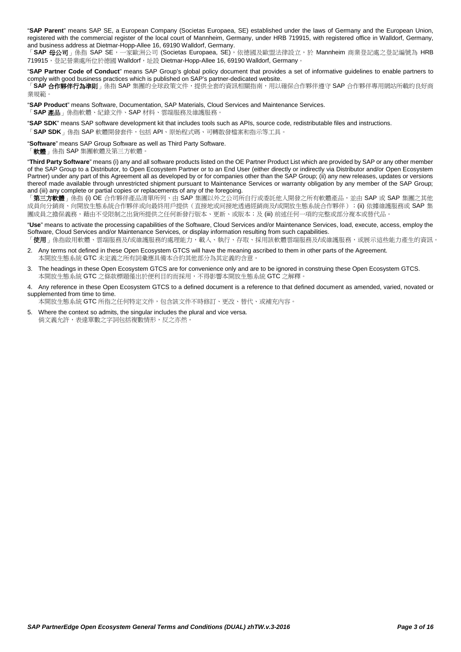"**SAP Parent**" means SAP SE, a European Company (Societas Europaea, SE) established under the laws of Germany and the European Union, registered with the commercial register of the local court of Mannheim, Germany, under HRB 719915, with registered office in Walldorf, Germany, and business address at Dietmar-Hopp-Allee 16, 69190 Walldorf, Germany.

「SAP 母公司」係指 SAP SE, 一家歐洲公司 (Societas Europaea, SE), 依德國及歐盟法律設立,於 Mannheim 商業登記處之登記編號為 HRB 719915, 登記營業處所位於德國 Walldorf, 址設 Dietmar-Hopp-Allee 16, 69190 Walldorf, Germany

"**SAP Partner Code of Conduct**" means SAP Group's global policy document that provides a set of informative guidelines to enable partners to comply with good business practices which is published on SAP's partner-dedicated website.

「**SAP** 合作夥伴行為準則」係指 SAP 集團的全球政策文件,提供全套的資訊相關指南,用以確保合作夥伴遵守 SAP 合作夥伴專用網站所載的良好商 業規範。

"**SAP Product**" means Software, Documentation, SAP Materials, Cloud Services and Maintenance Services.

「**SAP** 產品」係指軟體、紀錄文件、SAP 材料、雲端服務及維護服務。

"**SAP SDK**" means SAP software development kit that includes tools such as APIs, source code, redistributable files and instructions.

「**SAP SDK**」係指 SAP 軟體開發套件,包括 API、原始程式碼、可轉散發檔案和指示等工具。

"**Software**" means SAP Group Software as well as Third Party Software.

「軟體」係指 SAP 集團軟體及第三方軟體

"**Third Party Software**" means (i) any and all software products listed on the OE Partner Product List which are provided by SAP or any other member of the SAP Group to a Distributor, to Open Ecosystem Partner or to an End User (either directly or indirectly via Distributor and/or Open Ecosystem Partner) under any part of this Agreement all as developed by or for companies other than the SAP Group; (ii) any new releases, updates or versions thereof made available through unrestricted shipment pursuant to Maintenance Services or warranty obligation by any member of the SAP Group; and (iii) any complete or partial copies or replacements of any of the foregoing.

「**第三方軟體**」係指 (i) OE 合作夥伴產品清單所列、由 SAP 集團以外之公司所自行或委託他人開發之所有軟體產品,並由 SAP 或 SAP 集團之其他 成員向分銷商、向開放生態系統合作夥伴或向最終用戶提供(直接地或间接地透過經銷商及/或開放生態系統合作夥伴);(ii) 依據維護服務或 SAP 集 團成員之擔保義務,藉由不受限制之出貨所提供之任何新發行版本、更新、或版本;及 (iii) 前述任何一項的完整或部分複本或替代品。

"**Use**" means to activate the processing capabilities of the Software, Cloud Services and/or Maintenance Services, load, execute, access, employ the Software, Cloud Services and/or Maintenance Services, or display information resulting from such capabilities.

「使用」係指啟用軟體、雲端服務及/或維護服務的處理能力,載入、執行、存取、採用該軟體雲端服務及/或維護服務,或展示這些能力產生的資訊。

- 2. Any terms not defined in these Open Ecosystem GTCS will have the meaning ascribed to them in other parts of the Agreement. 本開放生態系統 GTC 未定義之所有詞彙應具備本合約其他部分為其定義的含意。
- 3. The headings in these Open Ecosystem GTCS are for convenience only and are to be ignored in construing these Open Ecosystem GTCS. 本開放生態系統 GTC 之條款標題僅出於便利目的而採用,不得影響本開放生態系統 GTC 之解釋。
- 4. Any reference in these Open Ecosystem GTCS to a defined document is a reference to that defined document as amended, varied, novated or supplemented from time to time.

本開放生態系統 GTC 所指之任何特定文件,包含該文件不時修訂、更改、替代、或補充內容。

5. Where the context so admits, the singular includes the plural and vice versa. 倘文義允許,表達單數之字詞包括複數情形,反之亦然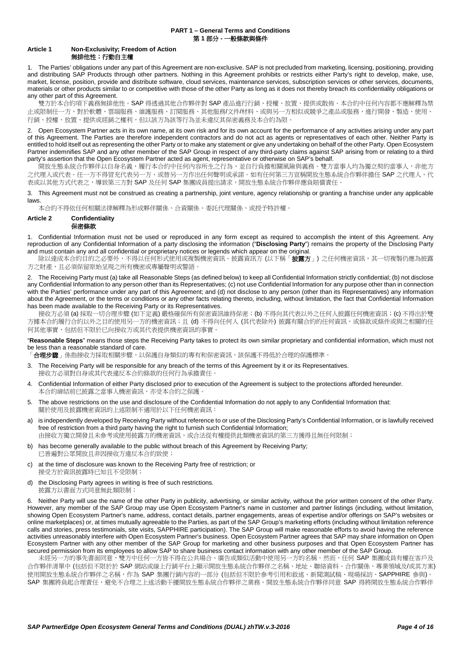## **PART 1 – General Terms and Conditions** 第 **1** 部分 **-** 一般條款與條件

# **Article 1 Non-Exclusivity; Freedom of Action** 無排他性;行動自主權

1. The Parties' obligations under any part of this Agreement are non-exclusive. SAP is not precluded from marketing, licensing, positioning, providing and distributing SAP Products through other partners. Nothing in this Agreement prohibits or restricts either Party's right to develop, make, use, market, license, position, provide and distribute software, cloud services, maintenance services, subscription services or other services, documents, materials or other products similar to or competitive with those of the other Party as long as it does not thereby breach its confidentiality obligations or any other part of this Agreement.

雙方於本合約項下義務無排他性。SAP 得透過其他合作夥伴對 SAP 產品進行行銷、授權、放置、提供或散佈。本合約中任何內容都不應解釋為禁 止或限制任一方,對於軟體、雲端服務、維護服務、訂閱服務、其他服務/文件/材料、或與另一方相似或競爭之產品或服務,進行開發、製造、使用、 行銷、授權、放置、提供或經銷之權利,但以該方為該等行為並未違反其保密義務及本合約為限。

2. Open Ecosystem Partner acts in its own name, at its own risk and for its own account for the performance of any activities arising under any part of this Agreement. The Parties are therefore independent contractors and do not act as agents or representatives of each other. Neither Party is entitled to hold itself out as representing the other Party or to make any statement or give any undertaking on behalf of the other Party. Open Ecosystem Partner indemnifies SAP and any other member of the SAP Group in respect of any third-party claims against SAP arising from or relating to a third party's assertion that the Open Ecosystem Partner acted as agent, representative or otherwise on SAP's behalf.

開放生態系統合作夥伴以自身名義,履行本合約中任何內容所生之行為,並自行負擔相關風險與義務。雙方當事人均為獨立契約當事人,非他方 之代理人或代表。任一方不得冒充代表另一方、或替另一方作出任何聲明或承諾。如有任何第三方宣稱開放生態系統合作夥伴擔任 SAP 之代理人、代 表或以其他方式代表之,導致第三方對 SAP 及任何 SAP 集團成員提出請求,開放生態系統合作夥伴應負賠償責任

3. This Agreement must not be construed as creating a partnership, joint venture, agency relationship or granting a franchise under any applicable laws.

本合約不得依任何相關法律解釋為形成夥伴關係、合資關係、委託代理關係、或授予特許權。

## <span id="page-3-0"></span>**Article 2 Confidentiality** 保密條款

1. Confidential Information must not be used or reproduced in any form except as required to accomplish the intent of this Agreement. Any reproduction of any Confidential Information of a party disclosing the information ("**Disclosing Party**") remains the property of the Disclosing Party and must contain any and all confidential or proprietary notices or legends which appear on the original.

除以達成本合約目的之必要外,不得以任何形式使用或複製機密資訊。披露資訊方 (以下稱「**披露方**」) 之任何機密資訊,其一切複製仍應為披露 方之財產,且必須保留原始呈現之所有機密或專屬聲明或警語。

2. The Receiving Party must (a) take all Reasonable Steps (as defined below) to keep all Confidential Information strictly confidential; (b) not disclose any Confidential Information to any person other than its Representatives; (c) not use Confidential Information for any purpose other than in connection with the Parties' performance under any part of this Agreement; and (d) not disclose to any person (other than its Representatives) any information about the Agreement, or the terms or conditions or any other facts relating thereto, including, without limitation, the fact that Confidential Information has been made available to the Receiving Party or its Representatives.

接收方必須 (a) 採取一切合理步驟 (如下定義) 嚴格確保所有保密資訊維持保密; (b) 不得向其代表以外之任何人披露任何機密資訊; (c) 不得出於雙 方據本合約履行合約以外之目的使用另一方的機密資訊;且 (d) 不得向任何人 (其代表除外) 披露有關合約的任何資訊,或條款或條件或與之相關的任 何其他事實,包括但不限於已向接收方或其代表提供機密資訊的事實。

"**Reasonable Steps**" means those steps the Receiving Party takes to protect its own similar proprietary and confidential information, which must not be less than a reasonable standard of care.

「**合理步驟**」係指接收方採取相關步驟,以保護自身類似的專有和保密資訊,該保護不得低於合理的保護標準。

- 3. The Receiving Party will be responsible for any breach of the terms of this Agreement by it or its Representatives. 接收方必須對自身或其代表違反本合約條款的任何行為承擔責任
- 4. Confidential Information of either Party disclosed prior to execution of the Agreement is subject to the protections afforded hereunder. 本合約締結前已披露之當事人機密資訊,亦受本合約之保護
- 5. The above restrictions on the use and disclosure of the Confidential Information do not apply to any Confidential Information that: 關於使用及披露機密資訊的上述限制不適用於以下任何機密資訊:
- a) is independently developed by Receiving Party without reference to or use of the Disclosing Party's Confidential Information, or is lawfully received free of restriction from a third party having the right to furnish such Confidential Information; 由接收方獨立開發且未參考或使用披露方的機密資訊,或合法從有權提供此類機密資訊的第三方獲得且無任何限制;
- b) has become generally available to the public without breach of this Agreement by Receiving Party; 已普遍對公眾開放且非因接收方違反本合約致使;
- c) at the time of disclosure was known to the Receiving Party free of restriction; or 接受方於資訊披露時已知且不受限制;
- d) the Disclosing Party agrees in writing is free of such restrictions. 披露方以書面方式同意無此類限制;

6. Neither Party will use the name of the other Party in publicity, advertising, or similar activity, without the prior written consent of the other Party. However, any member of the SAP Group may use Open Ecosystem Partner's name in customer and partner listings (including, without limitation, showing Open Ecosystem Partner's name, address, contact details, partner engagements, areas of expertise and/or offerings on SAP's websites or online marketplaces) or, at times mutually agreeable to the Parties, as part of the SAP Group's marketing efforts (including without limitation reference calls and stories, press testimonials, site visits, SAPPHIRE participation). The SAP Group will make reasonable efforts to avoid having the reference activities unreasonably interfere with Open Ecosystem Partner's business. Open Ecosystem Partner agrees that SAP may share information on Open Ecosystem Partner with any other member of the SAP Group for marketing and other business purposes and that Open Ecosystem Partner has secured permission from its employees to allow SAP to share business contact information with any other member of the SAP Group.

未經另一方的事先書面同意,雙方中任何一方皆不得在公共場合、廣告或類似活動中使用另一方的名稱。然而,任何 SAP 集團成員有權在客戶及 合作夥伴清單中 (包括但不限於於 SAP 網站或線上行銷平台上顯示開放生態系統合作夥伴之名稱、地址、聯絡資料、合作關係、專業領域及/或其方案) 使用開放生態系統合作夥伴之名稱,作為 SAP 集團行銷內容的一部分 (包括但不限於參考引用和敘述、新聞測試稿、現場採訪、SAPPHIRE 參與) SAP 集團將負起合理責任,避免不合理之上述活動干擾開放生態系統合作夥伴之業務。開放生態系統合作夥伴同意 SAP 得將開放生態系統合作夥伴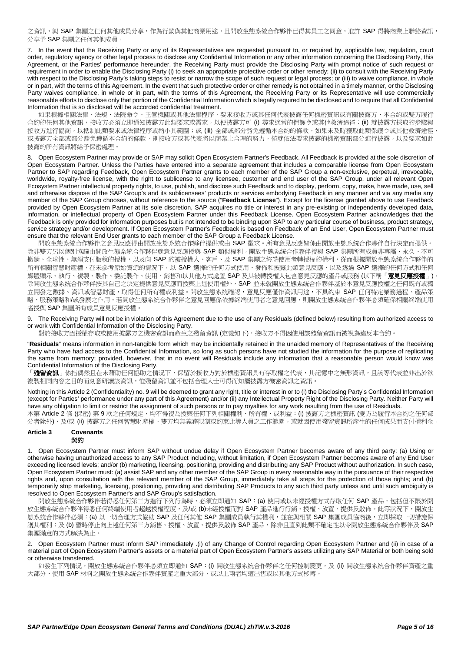之資訊,與 SAP 集團之任何其他成員分享,作為行銷與其他商業用途,目開放生態系統合作夥伴已得其員工之同意,准許 SAP 得將商業上聯絡資訊, 分享予 SAP 集團之任何其他成員。

7. In the event that the Receiving Party or any of its Representatives are requested pursuant to, or required by, applicable law, regulation, court order, regulatory agency or other legal process to disclose any Confidential Information or any other information concerning the Disclosing Party, this Agreement, or the Parties' performance hereunder, the Receiving Party must provide the Disclosing Party with prompt notice of such request or requirement in order to enable the Disclosing Party (i) to seek an appropriate protective order or other remedy; (ii) to consult with the Receiving Party with respect to the Disclosing Party's taking steps to resist or narrow the scope of such request or legal process; or (iii) to waive compliance, in whole or in part, with the terms of this Agreement. In the event that such protective order or other remedy is not obtained in a timely manner, or the Disclosing Party waives compliance, in whole or in part, with the terms of this Agreement, the Receiving Party or its Representative will use commercially reasonable efforts to disclose only that portion of the Confidential Information which is legally required to be disclosed and to require that all Confidential Information that is so disclosed will be accorded confidential treatment.

如果根據相關法律、法規、法院命令、主管機關或其他法律程序,要求接收方或其任何代表披露任何機密資訊或有關披露方、本合約或雙方履行 合約的任何其他資訊,接收方必須立即通知披露方此類要求或需求,以便披露方可 (i) 尋求適當的保護令或其他救濟途徑;(ii) 就披露方採取的步驟與 接收方進行協商,以抵制此類要求或法律程序或縮小其範圍;或 (iii) 全部或部分豁免遵循本合約的條款。如果未及時獲取此類保護令或其他救濟途徑 或披露方全部或部分豁免遵循本合約的條款,則接收方或其代表將以商業上合理的努力,僅就依法要求披露的機密資訊部分進行披露,以及要求如此 披露的所有資訊將給予保密處理。

8. Open Ecosystem Partner may provide or SAP may solicit Open Ecosystem Partner's Feedback. All Feedback is provided at the sole discretion of Open Ecosystem Partner. Unless the Parties have entered into a separate agreement that includes a comparable license from Open Ecosystem Partner to SAP regarding Feedback, Open Ecosystem Partner grants to each member of the SAP Group a non-exclusive, perpetual, irrevocable, worldwide, royalty-free license, with the right to sublicense to any licensee, customer and end user of the SAP Group, under all relevant Open Ecosystem Partner intellectual property rights, to use, publish, and disclose such Feedback and to display, perform, copy, make, have made, use, sell and otherwise dispose of the SAP Group's and its sublicensees' products or services embodying Feedback in any manner and via any media any member of the SAP Group chooses, without reference to the source ("**Feedback License**"). Except for the license granted above to use Feedback provided by Open Ecosystem Partner at its sole discretion, SAP acquires no title or interest in any pre-existing or independently developed data, information, or intellectual property of Open Ecosystem Partner under this Feedback License. Open Ecosystem Partner acknowledges that the Feedback is only provided for information purposes but is not intended to be binding upon SAP to any particular course of business, product strategy, service strategy and/or development. If Open Ecosystem Partner's Feedback is based on Feedback of an End User, Open Ecosystem Partner must ensure that the relevant End User grants to each member of the SAP Group a Feedback License.

開放生態系統合作夥伴之意見反應得由開放生態系統合作夥伴提供或由 SAP 徵求。所有意見反應皆係由開放生態系統合作夥伴自行決定而提供。 除非雙方另以個別協議由開放生態系統合作夥伴就意見反應授與 SAP 類似權利,開放生態系統合作夥伴授與 SAP 集團所有成員非專屬、永久、不可 撤銷、全球性、無須支付版稅的授權,以及向 SAP 的被授權人、客戶、及 SAP 集團之終端使用者轉授權的權利,從而根據開放生態系統合作夥伴的 ......<br>所有相關智慧財產權,在未參考原始資源的情況下,以 SAP 選擇的任何方式使用、發佈和披露此類意見反應,以及透過 SAP 選擇的任何方式和任何 媒體顯示、執行、複製、製作、委託製作、使用、銷售和以其他方式處置 SAP 及其被轉授權人包含意見反應的產品或服務 (以下稱「**意見反應授權**」) 除開放生態系統合作夥伴按其自己之決定提供意見反應而授與上述使用權外,SAP 並未就開放生態系統合作夥伴基於本意見反應授權之任何既有或獨 立開發之數據、資訊或智慧財產,取得任何所有權或利益。開放生態系統確認,意見反應僅作資訊用途,不具約束 SAP 任何特定業務過程、產品策 略、服務策略和/或發展之作用。若開放生態系統合作夥伴之意見回應係依據終端使用者之意見回應,則開放生態系統合作夥伴必須確保相關終端使用 者授與 SAP 集團所有成員意見反應授權。

<span id="page-4-0"></span>9. The Receiving Party will not be in violation of this Agreement due to the use of any Residuals (defined below) resulting from authorized access to or work with Confidential Information of the Disclosing Party.

對於接收方因授權存取或使用披露方之機密資訊而產生之殘留資訊 (定義如下),接收方不得因使用該殘留資訊而被視為違反本合約。

"**Residuals**" means information in non-tangible form which may be incidentally retained in the unaided memory of Representatives of the Receiving Party who have had access to the Confidential Information, so long as such persons have not studied the information for the purpose of replicating the same from memory; provided, however, that in no event will Residuals include any information that a reasonable person would know was Confidential Information of the Disclosing Party.

「**殘留資訊**」係指偶然且在未藉助任何協助之情況下,保留於接收方對於機密資訊具有存取權之代表,其記憶中之無形資訊,且該等代表並非出於欲 複製相同內容之目的而刻意研讀該資訊,惟殘留資訊並不包括合理人士可得而知屬披露方機密資訊之資訊。

Nothing in thi[s Article 2](#page-3-0) (Confidentiality) no[. 9](#page-4-0) will be deemed to grant any right, title or interest in or to (i) the Disclosing Party's Confidential Information (except for Parties' performance under any part of this Agreement) and/or (ii) any Intellectual Property Right of the Disclosing Party. Neither Party will have any obligation to limit or restrict the assignment of such persons or to pay royalties for any work resulting from the use of Residuals. 本第 [Article 2](#page-3-0) 條 (保密) 第 [9](#page-4-0) 款之任何規定,均不得視為授與任何下列相關權利、所有權、或利益: (i) 披露方之機密資訊 (雙方為履行本合約之任何部

分者除外),及/或 (ii) 披露方之任何智慧財產權。雙方均無義務限制或約束此等人員之工作範圍,或就因使用殘留資訊所產生的任何成果而支付權利金。

#### **Article 3 Covenants** 契約

1. Open Ecosystem Partner must inform SAP without undue delay if Open Ecosystem Partner becomes aware of any third party: (a) Using or otherwise having unauthorized access to any SAP Product including, without limitation, if Open Ecosystem Partner becomes aware of any End User exceeding licensed levels; and/or (b) marketing, licensing, positioning, providing and distributing any SAP Product without authorization. In such case, Open Ecosystem Partner must: (a) assist SAP and any other member of the SAP Group in every reasonable way in the pursuance of their respective rights and, upon consultation with the relevant member of the SAP Group, immediately take all steps for the protection of those rights; and (b) temporarily stop marketing, licensing, positioning, providing and distributing SAP Products to any such third party unless and until such ambiguity is resolved to Open Ecosystem Partner's and SAP Group's satisfaction.

開放生態系統合作夥伴若得悉任何第三方進行下列行為時,必須立即通知 SAP: (a) 使用或以未經授權方式存取任何 SAP 產品,包括但不限於開 放生態系統合作夥伴得悉任何終端使用者超越授權程度,及/或 (b)未經授權而對 SAP 產品進行行銷、授權、放置、提供及散佈。此等狀況下,開放生 態系統合作夥伴必須: (a) 以一切合理方式協助 SAP 及任何其他 SAP 集團成員執行其權利,並在與相關 SAP 集團成員協商後,立即採取一切措施保 護其權利;及 (b) 暫時停止向上述任何第三方銷售、授權、放置、提供及散佈 SAP 產品,除非且直到此類不確定性以令開放生態系統合作夥伴及 SAP 集團滿意的方式解決為止。

2. Open Ecosystem Partner must inform SAP immediately .(i) of any Change of Control regarding Open Ecosystem Partner and (ii) in case of a material part of Open Ecosystem Partner's assets or a material part of Open Ecosystem Partner's assets utilizing any SAP Material or both being sold or otherwise transferred.

如發生下列情況,開放生態系統合作夥伴必須立即通知 SAP:(i) 開放生態系統合作夥伴之任何控制變更,及(ii) 開放生態系統合作夥伴資產之重 大部分、使用 SAP 材料之開放生態系統合作夥伴資產之重大部分,或以上兩者均遭出售或以其他方式移轉。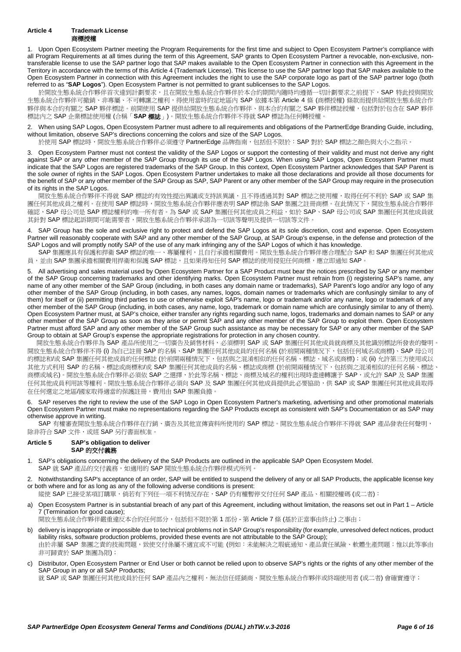<span id="page-5-0"></span>1. Upon Open Ecosystem Partner meeting the Program Requirements for the first time and subject to Open Ecosystem Partner's compliance with all Program Requirements at all times during the term of this Agreement, SAP grants to Open Ecosystem Partner a revocable, non-exclusive, nontransferable license to use the SAP partner logo that SAP makes available to the Open Ecosystem Partner in connection with this Agreement in the Territory in accordance with the terms of thi[s Article 4](#page-5-0) (Trademark License). This license to use the SAP partner logo that SAP makes available to the Open Ecosystem Partner in connection with this Agreement includes the right to use the SAP corporate logo as part of the SAP partner logo (both referred to as "**SAP Logos**"). Open Ecosystem Partner is not permitted to grant sublicenses to the SAP Logos.

於開放生態系統合作夥伴首次達到計劃要求,且在開放生態系統合作夥伴於本合約期間內隨時均遵循一切計劃要求之前提下, SAP 特此授與開放 生態系統合作夥伴可撤銷、非專屬、不可轉讓之權利,得使用當時約定地區內 SAP 依據本第 [Article 4](#page-5-0) 條 (商標授權) 條款而提供給開放生態系統合作 夥伴與本合約有關之 SAP 夥伴標誌。前開使用 SAP 提供給開放生態系統合作夥伴、與本合約有關之 SAP 夥伴標誌授權,包括對於包含在 SAP 夥伴 標誌內之 SAP 企業標誌使用權 (合稱「**SAP** 標誌」)。開放生態系統合作夥伴不得就 SAP 標誌為任何轉授權。

2. When using SAP Logos, Open Ecosystem Partner must adhere to all requirements and obligations of the PartnerEdge Branding Guide, including, without limitation, observe SAP's directions concerning the colors and size of the SAP Logos.

於使用 SAP 標誌時,開放生態系統合作夥伴必須遵守 PartnerEdge 品牌指南,包括但不限於: SAP 對於 SAP 標誌之顏色與大小之指示。

3. Open Ecosystem Partner must not contest the validity of the SAP Logos or support the contesting of their validity and must not derive any right against SAP or any other member of the SAP Group through its use of the SAP Logos. When using SAP Logos, Open Ecosystem Partner must indicate that the SAP Logos are registered trademarks of the SAP Group. In this context, Open Ecosystem Partner acknowledges that SAP Parent is the sole owner of rights in the SAP Logos. Open Ecosystem Partner undertakes to make all those declarations and provide all those documents for the benefit of SAP or any other member of the SAP Group as SAP, SAP Parent or any other member of the SAP Group may require in the prosecution of its rights in the SAP Logos.

開放生態系統合作夥伴不得就 SAP 標誌的有效性提出異議或支持該異議,且不得透過其對 SAP 標誌之使用權,取得任何不利於 SAP 或 SAP 集 團任何其他成員之權利。在使用 SAP 標誌時,開放生態系統合作夥伴應表明 SAP 標誌係 SAP 集團之註冊商標。在此情況下,開放生態系統合作夥伴 ールの SAP 母公司是 SAP 標誌權利的唯一所有者。為 SAP 或 SAP 集團任何其他成員之利益,如於 SAP、SAP 母公司或 SAP 集團任何其他成員就 其針對 SAP 標誌起訴期間可能需要者,開放生態系統合作夥伴承諾為一切該等聲明及提供一切該等文件。

4. SAP Group has the sole and exclusive right to protect and defend the SAP Logos at its sole discretion, cost and expense. Open Ecosystem Partner will reasonably cooperate with SAP and any other member of the SAP Group, at SAP Group's expense, in the defense and protection of the SAP Logos and will promptly notify SAP of the use of any mark infringing any of the SAP Logos of which it has knowledge.

SAP 集團應具有保護和捍衛 SAP 標誌的唯一、專屬權利,且自行承擔相關費用。開放生態系統合作夥伴應合理配合 SAP 和 SAP 集團任何其他成 員,並由 SAP 集團承擔相關費用捍衛和保護 SAP 標誌,目如果得知任何 SAP 標誌的使用侵犯任何商標,應立即涌知 SAP。

5. All advertising and sales material used by Open Ecosystem Partner for a SAP Product must bear the notices prescribed by SAP or any member of the SAP Group concerning trademarks and other identifying marks. Open Ecosystem Partner must refrain from (i) registering SAP's name, any name of any other member of the SAP Group (including, in both cases any domain name or trademarks), SAP Parent's logo and/or any logo of any other member of the SAP Group (including, in both cases, any names, logos, domain names or trademarks which are confusingly similar to any of them) for itself or (ii) permitting third parties to use or otherwise exploit SAP's name, logo or trademark and/or any name, logo or trademark of any other member of the SAP Group (including, in both cases, any name, logo, trademark or domain name which are confusingly similar to any of them). Open Ecosystem Partner must, at SAP's choice, either transfer any rights regarding such name, logos, trademarks and domain names to SAP or any other member of the SAP Group as soon as they arise or permit SAP and any other member of the SAP Group to exploit them. Open Ecosystem Partner must afford SAP and any other member of the SAP Group such assistance as may be necessary for SAP or any other member of the SAP Group to obtain at SAP Group's expense the appropriate registrations for protection in any chosen country.

開放生態系統合作夥伴為 SAP 產品所使用之一切廣告及銷售材料,必須標明 SAP 或 SAP 集團任何其他成員就商標及其他識別標誌所發表的聲明。 開放生態系統合作夥伴不得 (i) 為自己註冊 SAP 的名稱、SAP 集團任何其他成員的任何名稱 (於前開兩種情況下,包括任何域名或商標)、SAP 母公司 的標誌和/或 SAP 集團任何其他成員的任何標誌 (於前開兩種情況下,包括與之混淆相似的任何名稱、標誌、域名或商標);或 (ii) 允許第三方使用或以 其他方式利用 SAP 的名稱、標誌或商標和/或 SAP 集團任何其他成員的名稱、標誌或商標 (於前開兩種情況下,包括與之混淆相似的任何名稱、標誌、 商標或域名)。開放生態系統合作夥伴必須依 SAP 之選擇,於此等名稱、標誌、商標及域名的權利出現時盡速轉讓予 SAP,或允許 SAP 及 SAP 集團 任何其他成員利用該等權利。開放生態系統合作夥伴必須向 SAP 及 SAP 集團任何其他成員提供此必要協助,供 SAP 或 SAP 集團任何其他成員取得 在任何選定之地區/國家取得適當的保護註冊,費用由 SAP 集團負擔。

6. SAP reserves the right to review the use of the SAP Logo in Open Ecosystem Partner's marketing, advertising and other promotional materials Open Ecosystem Partner must make no representations regarding the SAP Products except as consistent with SAP's Documentation or as SAP may otherwise approve in writing.

SAP 有權審查開放生態系統合作夥伴在行銷、廣告及其他宣傳資料所使用的 SAP 標誌。開放生態系統合作夥伴不得就 SAP 產品發表任何聲明, 除非符合 SAP 文件,或經 SAP 另行書面核准。

#### <span id="page-5-2"></span>**Article 5 SAP's obligation to deliver SAP** 的交付義務

- <span id="page-5-4"></span>1. SAP's obligations concerning the delivery of the SAP Products are outlined in the applicable SAP Open Ecosystem Model. SAP 就 SAP 產品的交付義務,如適用的 SAP 開放生態系統合作夥伴模式所列
- <span id="page-5-3"></span>2. Notwithstanding SAP's acceptance of an order, SAP will be entitled to suspend the delivery of any or all SAP Products, the applicable license key or both where and for as long as any of the following adverse conditions is present:

縱使 SAP 已接受某項訂購單,倘若有下列任一項不利情況存在,SAP 仍有權暫停交付任何 SAP 產品、相關授權碼 (或二者):

<span id="page-5-1"></span>a) Open Ecosystem Partner is in substantial breach of any part of this Agreement, including without limitation, the reasons set out in Part 1 – [Article](#page-6-0)  [7](#page-6-0) (Termination for good cause);

開放生態系統合作夥伴嚴重違反本合約任何部分,包括但不限於第1部份-第 [Article 7](#page-6-0)條 (基於正當事由終止) 之事由;

- b) delivery is inappropriate or impossible due to technical problems not in SAP Group's responsibility (for example, unresolved defect notices, product liability risks, software production problems, provided these events are not attributable to the SAP Group); 由於非屬 SAP 集團之責的技術問題,致使交付係屬不適宜或不可能 (例如:未能解決之瑕疵通知、產品責任風險、軟體生產問題;惟以此等事由
- 非可歸責於 SAP 集團為限);
- c) Distributor, Open Ecosystem Partner or End User or both cannot be relied upon to observe SAP's rights or the rights of any other member of the SAP Group in any or all SAP Products;

就 SAP 或 SAP 集團任何其他成員於任何 SAP 產品內之權利,無法信任經銷商、開放生熊系統合作夥伴或終端使用者 (或二者) 會確實遵守;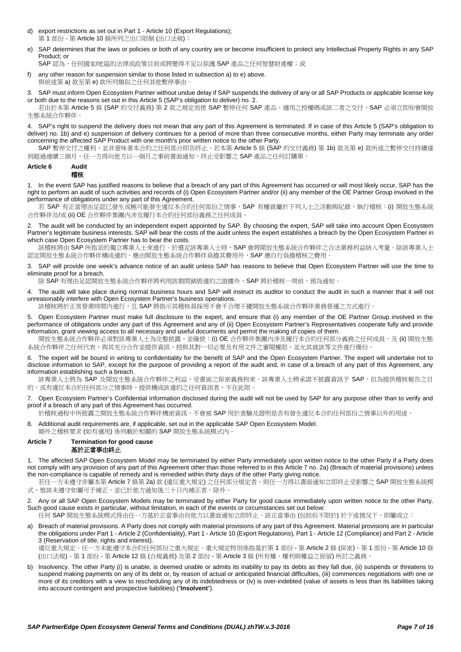- d) export restrictions as set out in Part 1 [Article 10](#page-8-0) (Export Regulations); 第 1 部份 - 第 [Article 10](#page-8-0) 條所列之出口限制 (出口法規);
- <span id="page-6-1"></span>SAP determines that the laws or policies or both of any country are or become insufficient to protect any Intellectual Property Rights in any SAP Product; or

SAP認為,任何國家/地區的法律或政策目前或將變得不足以保護 SAP 產品之任何智慧財產權;或

f) any other reason for suspension similar to those listed in subsection [a\)](#page-5-1) t[o e\)](#page-6-1) above. 與前述第 [a\)](#page-5-1) 款至第 [e\)](#page-6-1) 款所列類似之任何其他暫停事由。

SAP must inform Open Ecosystem Partner without undue delay if SAP suspends the delivery of any or all SAP Products or applicable license key or both due to the reasons set out in thi[s Article 5](#page-5-2) (SAP's obligation to deliver) no[. 2.](#page-5-3)

若由於本第 [Article 5](#page-5-2) 條 (SAP 的交付義務) 第 [2](#page-5-3) 款之規定而使 SAP 暫停任何 SAP 產品、適用之授權碼或該二者之交付, SAP 必須立即知會開放 生態系統合作夥伴。

<span id="page-6-4"></span>4. SAP's right to suspend the delivery does not mean that any part of this Agreement is terminated. If in case of thi[s Article 5](#page-5-2) (SAP's obligation to deliver) no. [1b\)](#page-5-4) and [e\)](#page-6-1) suspension of delivery continues for a period of more than three consecutive months, either Party may terminate any order concerning the affected SAP Product with one month's prior written notice to the other Party.

SAP 暫停交付之權利,並非意味著本合約之任何部分即告終止。若本第 [Article 5](#page-5-2) 條 (SAP 的交付義務) 第 [1b\)](#page-5-4) 款及第 [e\)](#page-6-1) 款所述之暫停交付持續達 到超過連續三個月,任一方得向他方以一個月之事前書面通知,終止受影響之 SAP 產品之任何訂購單。

#### <span id="page-6-3"></span>**Article 6 Audit** 稽核

1. In the event SAP has justified reasons to believe that a breach of any part of this Agreement has occurred or will most likely occur, SAP has the right to perform an audit of such activities and records of (i) Open Ecosystem Partner and/or (ii) any member of the OE Partner Group involved in the performance of obligations under any part of this Agreement.

若 SAP 有正當理由足認已發生或極可能發生違反本合約任何部份之情事,SAP 有權就屬於下列人士之活動與紀錄,執行稽核: (i) 開放生態系統 合作夥伴及/或 (ii) OE 合作夥伴集團內涉及履行本合約任何部份義務之任何成員。

2. The audit will be conducted by an independent expert appointed by SAP. By choosing the expert, SAP will take into account Open Ecosystem Partner's legitimate business interests. SAP will bear the costs of the audit unless the expert establishes a breach by the Open Ecosystem Partner in which case Open Ecosystem Partner has to bear the costs.

該稽核將由 SAP 所指派的獨立專業人士來進行。於選定該專業人士時, SAP 會將開放生態系統合作夥伴之合法業務利益納入考量。除該專業人士 認定開放生態系統合作夥伴構成違約,應由開放生態系統合作夥伴負擔其費用外,SAP 應自行負擔稽核之費用。

3. SAP will provide one week's advance notice of an audit unless SAP has reasons to believe that Open Ecosystem Partner will use the time to eliminate proof for a breach.

除 SAP 有理由足認開放生態系統合作夥伴將利用該期間銷毀違約之證據外,SAP 將於稽核一周前,預為通知。

4. The audit will take place during normal business hours and SAP will instruct its auditor to conduct the audit in such a manner that it will not unreasonably interfere with Open Ecosystem Partner's business operations.

該稽核將於正常營業時間內進行,且 SAP 將指示其稽核員採用不會不合理干擾開放生態系統合作夥伴業務營運之方式進行。

5. Open Ecosystem Partner must make full disclosure to the expert, and ensure that (i) any member of the OE Partner Group involved in the performance of obligations under any part of this Agreement and any of (ii) Open Ecosystem Partner's Representatives cooperate fully and provide information, grant viewing access to all necessary and useful documents and permit the making of copies of them.

開放生態系統合作夥伴必須對該專業人士為完整披露,並確使: (i) OE 合作夥伴集團內涉及履行本合約任何部分義務之任何成員,及 (ii) 開放生態 系統合作夥伴之任何代表,與其充分合作並提供資訊,授與其對一切必要及有用文件之審閱權限,並允其就該等文件進行備份。

*6.* The expert will be bound in writing to confidentiality for the benefit of SAP and the Open Ecosystem Partner. The expert will undertake not to disclose information to SAP, except for the purpose of providing a report of the audit and, in case of a breach of any part of this Agreement, any information establishing such a breach.

該專業人士將為 SAP 及開放生態系統合作夥伴之利益,受書面之保密義務拘束。該專業人士將承諾不披露資訊予 SAP,但為提供稽核報告之目 的、或有違反本合約任何部分之情事時,提供構成該違約之任何資訊者,不在此限。

7. Open Ecosystem Partner's Confidential Information disclosed during the audit will not be used by SAP for any purpose other than to verify and proof if a breach of any part of this Agreement has occurred.

於稽核過程中所披露之開放生態系統合作夥伴機密資訊,不會被 SAP 用於查驗及證明是否有發生違反本合約任何部份之情事以外的用途。

8. Additional audit requirements are, if applicable, set out in the applicable SAP Open Ecosystem Model. 額外之稽核要求 (如有適用) 係列載於相關的 SAP 開放生態系統模式內。

#### <span id="page-6-0"></span>**Article 7 Termination for good cause** 基於正當事由終止

1. The affected SAP Open Ecosystem Model may be terminated by either Party immediately upon written notice to the other Party if a Party does not comply with any provision of any part of this Agreement other than those referred to in thi[s Article 7](#page-6-0) no[. 2a\)](#page-6-2) (Breach of material provisions) unless the non-compliance is capable of remedy and is remedied within thirty days of the other Party giving notice.

若任一方未遵守非屬本第 [Article 7](#page-6-0) 條第 [2a\)](#page-6-2) 款 (違反重大規定) 之任何部分規定者,則任一方得以書面通知立即終止受影響之 SAP 開放生態系統模 式,惟該未遵守如屬可予補正,並已於他方通知後三十日內補正者,除外。

<span id="page-6-2"></span>2. Any or all SAP Open Ecosystem Models may be terminated by either Party for good cause immediately upon written notice to the other Party. Such good cause exists in particular, without limitation, in each of the events or circumstances set out below:

任何 SAP 開放生態系統模式得由任一方基於正當事由向他方以書面通知立即終止。該正當事由 (包括但不限於) 於下述情況下, 即屬成立:

a) Breach of material provisions. A Party does not comply with material provisions of any part of this Agreement. Material provisions are in particular the obligations under Part 1 - [Article](#page-3-0) 2 (Confidentiality), Part 1 - [Article 10](#page-8-0) (Export Regulations), Part 1 - [Article 12](#page-9-0) (Compliance) and Part 2 - [Article](#page-13-0)  [3](#page-13-0) (Reservation of title, rights and interest).

違反重大規定。任一方未能遵守本合約任何部份之重大規定。重大規定特別係指基於第1部份 - 第 [Article 2](#page-3-0) 條 (保密)、第1部份 - 第 [Article 10](#page-8-0) 條 (出口法規)、第 1 部份 - 第 [Article 12](#page-9-0) 條 (合規義務) 及第 2 部份 - 第 [Article 3](#page-13-0) 條 (所有權、權利與權益之保留) 所訂之義務。

b) Insolvency. The other Party (i) is unable, is deemed unable or admits its inability to pay its debts as they fall due, (ii) suspends or threatens to suspend making payments on any of its debt or, by reason of actual or anticipated financial difficulties, (iii) commences negotiations with one or more of its creditors with a view to rescheduling any of its indebtedness or (iv) is over-indebted (value of assets is less than its liabilities taking into account contingent and prospective liabilities) ("**Insolvent**").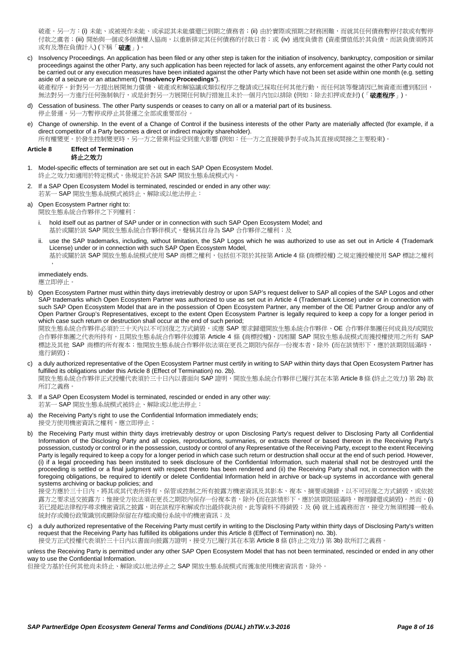破產。另一方:(i) 未能、或被視作未能、或承認其未能償還已到期之債務者;(ii) 由於實際或預期之財務困難,而就其任何債務暫停付款或有暫停 付款之虞者;(iii) 開始與一個或多個債權人協商,以重新排定其任何債務的付款日者;或 (iv) 過度負債者 (資產價值低於其負債,而該負債須將其 或有及潛在負債計入) (下稱「破產」)。

c) Insolvency Proceedings. An application has been filed or any other step is taken for the initiation of insolvency, bankruptcy, composition or similar proceedings against the other Party, any such application has been rejected for lack of assets, any enforcement against the other Party could not be carried out or any execution measures have been initiated against the other Party which have not been set aside within one month (e.g. setting aside of a seizure or an attachment) ("**Insolvency Proceedings**").

破產程序。針對另一方提出展開無力償債、破產或和解協議或類似程序之聲請或已採取任何其他行動,而任何該等聲請因已無資產而遭到駁回, 無法對另一方進行任何強制執行,或是針對另一方展開任何執行措施且未於一個月內加以排除 (例如:除去扣押或查封) (「**破產程序**」)。

- d) Cessation of business. The other Party suspends or ceases to carry on all or a material part of its business*.* 停止營運。另一方暫停或停止其營運之全部或重要部份。
- e) Change of ownership. In the event of a Change of Control if the business interests of the other Party are materially affected (for example, if a direct competitor of a Party becomes a direct or indirect majority shareholder).

所有權變更。於發生控制變更時,另一方之營業利益受到重大影響 (例如:任一方之直接競爭對手成為其直接或間接之主要股東)。

# <span id="page-7-0"></span>**Article 8 Effect of Termination**

- 終止之效力
- 1. Model-specific effects of termination are set out in each SAP Open Ecosystem Model. 終止之效力如適用於特定模式,係規定於各該 SAP 開放生態系統模式內
- <span id="page-7-1"></span>2. If a SAP Open Ecosystem Model is terminated, rescinded or ended in any other way: 若某一 SAP 開放生態系統模式被終止、解除或以他法停止:

# a) Open Ecosystem Partner right to:

- 開放生態系統合作夥伴之下列權利:
- i. hold itself out as partner of SAP under or in connection with such SAP Open Ecosystem Model; and 基於或關於該 SAP 開放生態系統合作夥伴模式,聲稱其自身為 SAP 合作夥伴之權利;及
- use the SAP trademarks, including, without limitation, the SAP Logos which he was authorized to use as set out in [Article 4](#page-5-0) (Trademark License) under or in connection with such SAP Open Ecosystem Model,
	- 基於或關於該 SAP 開放生態系統模式使用 SAP 商標之權利,包括但不限於其按第 [Article 4](#page-5-0) 條 (商標授權) 之規定獲授權使用 SAP 標誌之權利 ,

immediately ends. 應立即停止。

b) Open Ecosystem Partner must within thirty days irretrievably destroy or upon SAP's request deliver to SAP all copies of the SAP Logos and other SAP trademarks which Open Ecosystem Partner was authorized to use as set out i[n Article 4](#page-5-0) (Trademark License) under or in connection with such SAP Open Ecosystem Model that are in the possession of Open Ecosystem Partner, any member of the OE Partner Group and/or any of Open Partner Group's Representatives, except to the extent Open Ecosystem Partner is legally required to keep a copy for a longer period in which case such return or destruction shall occur at the end of such period;

開放生態系統合作夥伴必須於三十天內以不可回復之方式銷毀,或應 SAP 要求歸還開放生態系統合作夥伴、OE 合作夥伴集團任何成員及/或開放 合作夥伴集團之代表所持有,且開放生態系統合作夥伴依據第 [Article 4](#page-5-0) 條 (商標授權)、因相關 SAP 開放生態系統模式而獲授權使用之所有 SAP 標誌及其他 SAP 商標的所有複本;惟開放生態系統合作夥伴依法須在更長之期限內保存一份複本者,除外 (而在該情形下,應於該期限屆滿時, 進行銷毀);

c) a duly authorized representative of the Open Ecosystem Partner must certify in writing to SAP within thirty days that Open Ecosystem Partner has fulfilled its obligations under this [Article 8](#page-7-0) (Effect of Termination) no. [2b\).](#page-7-1)

開放生態系統合作夥伴正式授權代表須於三十日內以書面向 SAP 證明,開放生態系統合作夥伴已履行其在本第 [Article 8](#page-7-0)條 (終止之效力) 第 [2b\)](#page-7-1) 款 所訂之義務。

- <span id="page-7-2"></span>3. If a SAP Open Ecosystem Model is terminated, rescinded or ended in any other way: 若某一 SAP 開放生態系統模式被終止、解除或以他法停止:
- a) the Receiving Party's right to use the Confidential Information immediately ends: 接受方使用機密資訊之權利,應立即停止;
- b) the Receiving Party must within thirty days irretrievably destroy or upon Disclosing Party's request deliver to Disclosing Party all Confidential Information of the Disclosing Party and all copies, reproductions, summaries, or extracts thereof or based thereon in the Receiving Party's possession, custody or control or in the possession, custody or control of any Representative of the Receiving Party, except to the extent Receiving Party is legally required to keep a copy for a longer period in which case such return or destruction shall occur at the end of such period. However, (i) if a legal proceeding has been instituted to seek disclosure of the Confidential Information, such material shall not be destroyed until the proceeding is settled or a final judgment with respect thereto has been rendered and (ii) the Receiving Party shall not, in connection with the foregoing obligations, be required to identify or delete Confidential Information held in archive or back-up systems in accordance with general systems archiving or backup policies; and

接受方應於三十日內,將其或其代表所持有、保管或控制之所有披露方機密資訊及其影本、複本、摘要或摘錄,以不可回復之方式銷毀,或依披 露方之要求送交披露方;惟接受方依法須在更長之期限內保存一份複本者,除外 (而在該情形下,應於該期限屆滿時,辦理歸還或銷毀)。然而,(i) 若已提起法律程序尋求機密資訊之披露,則在該程序和解或作出最終裁決前,此等資料不得銷毀;及 (ii) 就上述義務而言,接受方無須根據一般系 統封存或備份政策識別或刪除保留在存檔或備份系統中的機密資訊;及

c) a duly authorized representative of the Receiving Party must certify in writing to the Disclosing Party within thirty days of Disclosing Party's written request that the Receiving Party has fulfilled its obligations under this [Article 8](#page-7-0) (Effect of Termination) no. [3b\).](#page-7-2)

接受方正式授權代表須於三十日內以書面向披露方證明,接受方已履行其在本第 [Article 8](#page-7-0) 條 (終止之效力) 第 [3b\)](#page-7-2) 款所訂之義務。

unless the Receiving Party is permitted under any other SAP Open Ecosystem Model that has not been terminated, rescinded or ended in any other way to use the Confidential Information.

但接受方基於任何其他尚未終止、解除或以他法停止之 SAP 開放生態系統模式而獲准使用機密資訊者,除外。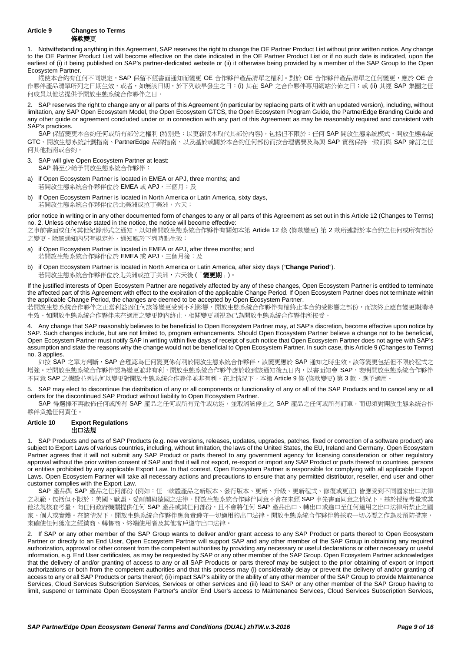<span id="page-8-1"></span>1. Notwithstanding anything in this Agreement, SAP reserves the right to change the OE Partner Product List without prior written notice. Any change to the OE Partner Product List will become effective on the date indicated in the OE Partner Product List or if no such date is indicated, upon the earliest of (i) it being published on SAP's partner-dedicated website or (ii) it otherwise being provided by a member of the SAP Group to the Open Ecosystem Partner.

縱使本合約有任何不同規定,SAP 保留不經書面通知而變更 OE 合作夥伴產品清單之權利。對於 OE 合作夥伴產品清單之任何變更,應於 OE 合 作夥伴產品清單所列之日期生效,或者,如無該日期,於下列較早發生之日:(i) 其在 SAP 之合作夥伴專用網站公佈之日;或 (ii) 其經 SAP 集團之任 何成員以他法提供予開放生態系統合作夥伴之日

2. SAP reserves the right to change any or all parts of this Agreement (in particular by replacing parts of it with an updated version), including, without limitation, any SAP Open Ecosystem Model, the Open Ecosystem GTCS, the Open Ecosystem Program Guide, the PartnerEdge Branding Guide and any other guide or agreement concluded under or in connection with any part of this Agreement as may be reasonably required and consistent with SAP's practices.

SAP 保留變更本合約任何或所有部份之權利 (特別是:以更新版本取代其部份內容),包括但不限於:任何 SAP 開放生態系統模式、開放生態系統 GTC、開放生態系統計劃指南、PartnerEdge 品牌指南、以及基於或關於本合約任何部份而按合理需要及為與 SAP 實務保持一致而與 SAP 締訂之任 何其他指南或合約。

- <span id="page-8-2"></span>3. SAP will give Open Ecosystem Partner at least: SAP 將至少給予開放生態系統合作夥伴:
- a) if Open Ecosystem Partner is located in EMEA or APJ, three months; and 若開放生態系統合作夥伴位於 EMEA 或 APJ, 三個月;及
- b) if Open Ecosystem Partner is located in North America or Latin America, sixty days, 若開放生態系統合作夥伴位於北美洲或拉丁美洲,六天;

prior notice in writing or in any other documented form of changes to any or all parts of this Agreement as set out in this [Article 12](#page-9-0) (Changes to Terms) no. [2.](#page-9-1) Unless otherwise stated in the notice, the notice will become effective:

之事前書面或任何其他紀錄形式之通知,以知會開放生態系統合作夥伴有關如本第 [Article 12](#page-9-0) 條 (條款變更) 第 [2](#page-9-1) 款所述對於本合約之任何或所有部份 之變更。除該通知內另有規定外,通知應於下列時點生效:

- a) if Open Ecosystem Partner is located in EMEA or APJ, after three months; and 若開放生態系統合作夥伴位於 EMEA 或 APJ, 三個月後;及
- if Open Ecosystem Partner is located in North America or Latin America, after sixty days ("Change Period"). 若開放生態系統合作夥伴位於北美洲或拉丁美洲,六天後 (「變更期」)。

If the justified interests of Open Ecosystem Partner are negatively affected by any of these changes, Open Ecosystem Partner is entitled to terminate the affected part of this Agreement with effect to the expiration of the applicable Change Period. If Open Ecosystem Partner does not terminate within the applicable Change Period, the changes are deemed to be accepted by Open Ecosystem Partner.

若開放生態系統合作夥伴之正當利益因任何該等變更受到不利影響,開放生態系統合作夥伴有權終止本合約受影響之部份,而該終止應自變更期滿時 生效。如開放生態系統合作夥伴未在適用之變更期內終止,相關變更則視為已為開放生態系統合作夥伴所接受。

4. Any change that SAP reasonably believes to be beneficial to Open Ecosystem Partner may, at SAP's discretion, become effective upon notice by SAP. Such changes include, but are not limited to, program enhancements. Should Open Ecosystem Partner believe a change not to be beneficial, Open Ecosystem Partner must notify SAP in writing within five days of receipt of such notice that Open Ecosystem Partner does not agree with SAP's assumption and state the reasons why the change would not be beneficial to Open Ecosystem Partner. In such case, thi[s Article 9](#page-8-1) (Changes to Terms) no. [3](#page-8-2) applies.

如按 SAP 之單方判斷, SAP 合理認為任何變更係有利於開放生態系統合作夥伴,該變更應於 SAP 通知之時生效。該等變更包括但不限於程式之 增強。若開放生態系統合作夥伴認為變更並非有利,開放生態系統合作夥伴應於收到該通知後五日內,以書面知會 SAP,表明開放生態系統合作夥伴 不同意 SAP 之假設並列出何以變更對開放生態系統合作夥伴並非有利。在此情況下,本第 [Article 9](#page-8-1) 條 (條款變更) 第 [3](#page-8-2) 款,應予滴用。

5. SAP may elect to discontinue the distribution of any or all components or functionality of any or all of the SAP Products and to cancel any or all orders for the discontinued SAP Product without liability to Open Ecosystem Partner.

SAP 得選擇不再散佈任何或所有 SAP 產品之任何或所有元件或功能,並取消該停止之 SAP 產品之任何或所有訂單,而毋須對開放生態系統合作 夥伴負擔任何責任。

# <span id="page-8-0"></span>**Article 10 Export Regulations**

# 出口法規

1. SAP Products and parts of SAP Products (e.g. new versions, releases, updates, upgrades, patches, fixed or correction of a software product) are subject to Export Laws of various countries, including, without limitation, the laws of the United States, the EU, Ireland and Germany. Open Ecosystem Partner agrees that it will not submit any SAP Product or parts thereof to any government agency for licensing consideration or other regulatory approval without the prior written consent of SAP and that it will not export, re-export or import any SAP Product or parts thereof to countries, persons or entities prohibited by any applicable Export Law. In that context, Open Ecosystem Partner is responsible for complying with all applicable Export Laws. Open Ecosystem Partner will take all necessary actions and precautions to ensure that any permitted distributor, reseller, end user and other customer complies with the Export Law.

SAP 產品與 SAP 產品之任何部份 (例如:任一軟體產品之新版本、發行版本、更新、升級、更新程式、修復或更正) 皆應受到不同國家出口法律 之規範,包括但不限於:美國、歐盟、愛爾蘭與德國之法律。開放生態系統合作夥伴同意不會在未經 SAP 事先書面同意之情況下,基於授權考量或其 他法規核准考量,向任何政府機關提供任何 SAP 產品或其任何部份,且不會將任何 SAP 產品出口、轉出口或進口至任何適用之出口法律所禁止之國 家、個人或實體。在該情況下,開放生態系統合作夥伴應負責遵守一切適用的出口法律。開放生態系統合作夥伴將採取一切必要之作為及預防措施, 來確使任何獲准之經銷商、轉售商、終端使用者及其他客戶遵守出口法律。

<span id="page-8-3"></span>2. If SAP or any other member of the SAP Group wants to deliver and/or grant access to any SAP Product or parts thereof to Open Ecosystem Partner or directly to an End User, Open Ecosystem Partner will support SAP and any other member of the SAP Group in obtaining any required authorization, approval or other consent from the competent authorities by providing any necessary or useful declarations or other necessary or useful information, e.g. End User certificates, as may be requested by SAP or any other member of the SAP Group. Open Ecosystem Partner acknowledges that the delivery of and/or granting of access to any or all SAP Products or parts thereof may be subject to the prior obtaining of export or import authorizations or both from the competent authorities and that this process may (i) considerably delay or prevent the delivery of and/or granting of access to any or all SAP Products or parts thereof; (ii) impact SAP's ability or the ability of any other member of the SAP Group to provide Maintenance Services, Cloud Services Subscription Services, Services or other services and (iii) lead to SAP or any other member of the SAP Group having to limit, suspend or terminate Open Ecosystem Partner's and/or End User's access to Maintenance Services, Cloud Services Subscription Services,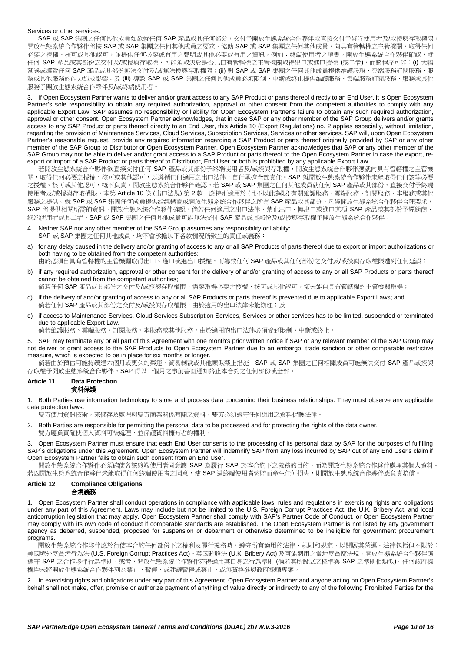# Services or other services.

SAP 或 SAP 集團之任何其他成員如欲就任何 SAP 產品或其任何部分,交付予開放生態系統合作夥伴或直接交付予終端使用者及/或授與存取權限, 開放生態系統合作夥伴將按 SAP 或 SAP 集團之任何其他成員之要求,協助 SAP 或 SAP 集團之任何其他成員,向具有管轄權之主管機關,取得任何 必要之授權、核可或其他認可,並提供任何必要或有用之聲明或其他必要或有用之資訊,例如:終端使用者之證書。開放生態系統合作夥伴確認,就 任何 SAP 產品或其部份之交付及/或授與存取權,可能須取決於是否已自有管轄權之主管機關取得出口或進口授權 (或二者),而該程序可能: (i) 大幅 延誤或導致任何 SAP 產品或其部份無法交付及/或無法授與存取權限;(ii) 對 SAP 或 SAP 集團之任何其他成員提供維護服務、雲端服務訂閱服務、服 務或其他服務的能力造成影響;及 (iii) 導致 SAP 或 SAP 集團之任何其他成員必須限制、中斷或終止提供維護服務、雲端服務訂閱服務、服務或其他 服務予開放生態系統合作夥伴及/或終端使用者。

3. If Open Ecosystem Partner wants to deliver and/or grant access to any SAP Product or parts thereof directly to an End User, it is Open Ecosystem Partner's sole responsibility to obtain any required authorization, approval or other consent from the competent authorities to comply with any applicable Export Law. SAP assumes no responsibility or liability for Open Ecosystem Partner's failure to obtain any such required authorization, approval or other consent. Open Ecosystem Partner acknowledges, that in case SAP or any other member of the SAP Group delivers and/or grants access to any SAP Product or parts thereof directly to an End User, this [Article 10](#page-8-0) (Export Regulations) no. [2](#page-8-3) applies especially, without limitation, regarding the provision of Maintenance Services, Cloud Services, Subscription Services, Services or other services. SAP will, upon Open Ecosystem Partner's reasonable request, provide any required information regarding a SAP Product or parts thereof originally provided by SAP or any other member of the SAP Group to Distributor or Open Ecosystem Partner. Open Ecosystem Partner acknowledges that SAP or any other member of the SAP Group may not be able to deliver and/or grant access to a SAP Product or parts thereof to the Open Ecosystem Partner in case the export, reexport or import of a SAP Product or parts thereof to Distributor, End User or both is prohibited by any applicable Export Law.

若開放生態系統合作夥伴欲直接交付任何 SAP 產品或其部份予終端使用者及/或授與存取權,開放生態系統合作夥伴應就向具有管轄權之主管機 關,取得任何必要之授權、核可或其他認可,以遵循任何適用之出口法律,自行承擔全部責任。SAP 就開放生態系統合作夥伴未能取得任何該等必要 之授權、核可或其他認可,概不負責。開放生態系統合作夥伴確認,若 SAP 或 SAP 集團之任何其他成員就任何 SAP 產品或其部份,直接交付予終端 使用者及/或授與存取權限,本第 [Article 10](#page-8-0) 條 (出口法規) 第 [2](#page-8-3) 款,應特別適用於 (且不以此為限) 有關維護服務、雲端服務、訂閱服務、本服務或其他 服務之提供。就 SAP 或 SAP 集團任何成員提供給經銷商或開放生態系統合作夥伴之所有 SAP 產品或其部分,凡經開放生態系統合作夥伴合理要求, SAP 將提供相關所需的資訊。開放生態系統合作夥伴確認, 倘若任何適用之出口法律, 禁止出口、轉出口或進口某項 SAP 產品或其部份予經銷商、 終端使用者或其二者,SAP 或 SAP 集團之任何其他成員可能無法交付 SAP 產品或其部份及/或授與存取權予開放生態系統合作夥伴。

- 4. Neither SAP nor any other member of the SAP Group assumes any responsibility or liability: SAP 或 SAP 集團之任何其他成員,均不會承擔以下各款情況所致生的責任或義務:
- a) for any delay caused in the delivery and/or granting of access to any or all SAP Products of parts thereof due to export or import authorizations or both having to be obtained from the competent authorities; 由於必須自具有管轄權的主管機關取得出口、進口或進出口授權,而導致任何 SAP 產品或其任何部份之交付及/或授與存取權限遭到任何延誤;
- b) if any required authorization, approval or other consent for the delivery of and/or granting of access to any or all SAP Products or parts thereof cannot be obtained from the competent authorities;

倘若任何 SAP 產品或其部份之交付及/或授與存取權限,需要取得必要之授權、核可或其他認可,卻未能自具有管轄權的主管機關取得;

- c) if the delivery of and/or granting of access to any or all SAP Products or parts thereof is prevented due to applicable Export Laws; and 倘若任何 SAP 產品或其部份之交付及/或授與存取權限,由於適用的出口法律未能辦理;及
- d) if access to Maintenance Services, Cloud Services Subscription Services, Services or other services has to be limited, suspended or terminated due to applicable Export Law.

倘若維護服務、雲端服務、訂閱服務、本服務或其他服務,由於適用的出口法律必須受到限制、中斷或終止。

5. SAP may terminate any or all part of this Agreement with one month's prior written notice if SAP or any relevant member of the SAP Group may not deliver or grant access to the SAP Products to Open Ecosystem Partner due to an embargo, trade sanction or other comparable restrictive measure, which is expected to be in place for six months or longer.

倘若由於預估可能持續達六個月或更久的禁運、貿易制裁或其他類似禁止措施,SAP 或 SAP 集團之任何相關成員可能無法交付 SAP 產品或授與 存取權予開放生態系統合作夥伴,SAP 得以一個月之事前書面通知終止本合約之任何部份或全部。

# **Article 11 Data Protection** 資料保護

1. Both Parties use information technology to store and process data concerning their business relationships. They must observe any applicable data protection laws.

雙方使用資訊技術,來儲存及處理與雙方商業關係有關之資料。雙方必須遵守任何適用之資料保護法律。

2. Both Parties are responsible for permitting the personal data to be processed and for protecting the rights of the data owner. 雙方應負責確使個人資料可被處理,並保護資料擁有者的權利。

3. Open Ecosystem Partner must ensure that each End User consents to the processing of its personal data by SAP for the purposes of fulfilling SAP´s obligations under this Agreement. Open Ecosystem Partner will indemnify SAP from any loss incurred by SAP out of any End User's claim if Open Ecosystem Partner fails to obtain such consent from an End User.

開放生態系統合作夥伴必須確使各該終端使用者同意讓 SAP 為履行 SAP 於本合約下之義務的目的,而為開放生態系統合作夥伴處理其個人資料。 若因開放生態系統合作夥伴未能取得任何終端使用者之同意,使 SAP 遭終端使用者索賠而產生任何損失,則開放生態系統合作夥伴應負責賠償。

#### <span id="page-9-0"></span>**Article 12 Compliance Obligations** 合規義務

1. Open Ecosystem Partner shall conduct operations in compliance with applicable laws, rules and regulations in exercising rights and obligations under any part of this Agreement. Laws may include but not be limited to the U.S. Foreign Corrupt Practices Act, the U.K. Bribery Act, and local anticorruption legislation that may apply. Open Ecosystem Partner shall comply with SAP's Partner Code of Conduct, or Open Ecosystem Partner may comply with its own code of conduct if comparable standards are established. The Open Ecosystem Partner is not listed by any government agency as debarred, suspended, proposed for suspension or debarment or otherwise determined to be ineligible for government procurement programs.

 開放生態系統合作夥伴應於行使本合約任何部份下之權利及履行義務時,遵守所有適用的法律、規則和規定,以開展其營運。法律包括但不限於: 美國境外反貪污行為法 (U.S. Foreign Corrupt Practices Act)、英國賄賂法 (U.K. Bribery Act) 及可能適用之當地反貪腐法規。開放生態系統合作夥伴應 遵守 SAP 之合作夥伴行為準則,或者,開放生態系統合作夥伴亦得適用其自身之行為準則 (倘若其所設立之標準與 SAP 之準則相類似)。任何政府機 構均未將開放生態系統合作夥伴列為禁止、暫停、或建議暫停或禁止、或無資格參與政府採購專案。

<span id="page-9-1"></span>2. In exercising rights and obligations under any part of this Agreement, Open Ecosystem Partner and anyone acting on Open Ecosystem Partner's behalf shall not make, offer, promise or authorize payment of anything of value directly or indirectly to any of the following Prohibited Parties for the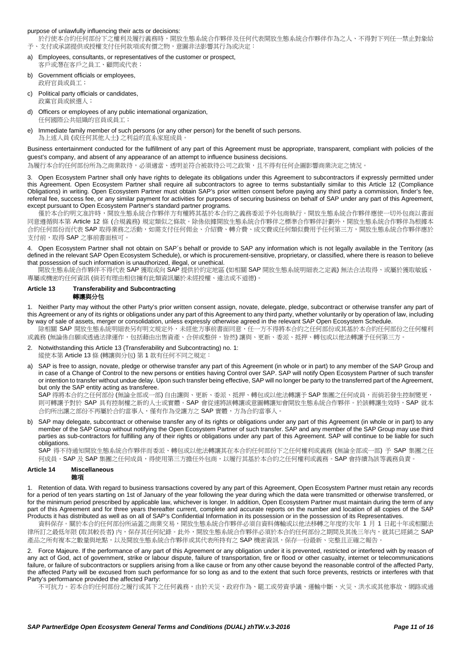#### purpose of unlawfully influencing their acts or decisions:

於行使本合約任何部份下之權利及履行義務時,開放生態系統合作夥伴及任何代表開放生態系統合作夥伴作為之人、不得對下列任一禁止對象給 予、支付或承諾提供或授權支付任何款項或有價之物,意圖非法影響其行為或決定:

- a) Employees, consultants, or representatives of the customer or prospect, 客戶或潛在客戶之員工、顧問或代表;
- b) Government officials or employees. 政府官員或員工;
- c) Political party officials or candidates, 政黨官員或候選人;
- d) Officers or employees of any public international organization, 任何國際公共組織的官員或員工;
- e) Immediate family member of such persons (or any other person) for the benefit of such persons. 為上述人員 (或任何其他人士) 之利益的直系家庭成員

Business entertainment conducted for the fulfillment of any part of this Agreement must be appropriate, transparent, compliant with policies of the guest's company, and absent of any appearance of an attempt to influence business decisions.

為履行本合約任何部份所為之商業款待,必須適當、透明並符合被款待公司之政策,且不得有任何企圖影響商業決定之情況。

3. Open Ecosystem Partner shall only have rights to delegate its obligations under this Agreement to subcontractors if expressly permitted under this Agreement. Open Ecosystem Partner shall require all subcontractors to agree to terms substantially similar to this [Article 12](#page-9-0) (Compliance Obligations) in writing. Open Ecosystem Partner must obtain SAP's prior written consent before paying any third party a commission, finder's fee, referral fee, success fee, or any similar payment for activities for purposes of securing business on behalf of SAP under any part of this Agreement, except pursuant to Open Ecosystem Partner's standard partner programs.

僅於本合約明文准許時,開放生態系統合作夥伴方有權將其基於本合約之義務委派予外包商執行。開放生態系統合作夥伴應使一切外包商以書面 同意遵循與本第 [Article 12](#page-9-0) 條 (合規義務) 規定類似之條款。除係依據開放生態系統合作夥伴之標準合作夥伴計劃外,開放生態系統合作夥伴為根據本 合約任何部份而代表 SAP 取得業務之活動,如需支付任何佣金、介紹費、轉介費、成交費或任何類似費用予任何第三方,開放生態系統合作夥伴應於 支付前,取得 SAP 之事前書面核可。

4. Open Ecosystem Partner shall not obtain on SAP´s behalf or provide to SAP any information which is not legally available in the Territory (as defined in the relevant SAP Open Ecosystem Schedule), or which is procurement-sensitive, proprietary, or classified, where there is reason to believe that possession of such information is unauthorized, illegal, or unethical.

 開放生態系統合作夥伴不得代表 SAP 獲取或向 SAP 提供於約定地區 (如相關 SAP 開放生態系統明細表之定義) 無法合法取得、或屬於獲取敏感、 專屬或機密的任何資訊 (倘若有理由相信擁有此類資訊屬於未經授權、違法或不道德)。

# **Article 13 Transferability and Subcontracting**

# <span id="page-10-0"></span>轉讓與分包

<span id="page-10-1"></span>1. Neither Party may without the other Party's prior written consent assign, novate, delegate, pledge, subcontract or otherwise transfer any part of this Agreement or any of its rights or obligations under any part of this Agreement to any third party, whether voluntarily or by operation of law, including by way of sale of assets, merger or consolidation, unless expressly otherwise agreed in the relevant SAP Open Ecosystem Schedule.

除相關 SAP 開放生態系統明細表另有明文規定外,未經他方事前書面同意,任一方不得將本合約之任何部份或其基於本合約任何部份之任何權利 或義務 (無論係自願或透過法律運作,包括藉由出售資產、合併或整併,皆然) 讓與、更新、委派、抵押、轉包或以他法轉讓予任何第三方。

- 2. Notwithstanding thi[s Article 13](#page-10-0) (Transferability and Subcontracting) no[. 1:](#page-10-1) 縱使本第 [Article 13](#page-10-0) 條 (轉讓與分包) 第 [1](#page-10-1) 款有任何不同之規定:
- a) SAP is free to assign, novate, pledge or otherwise transfer any part of this Agreement (in whole or in part) to any member of the SAP Group and in case of a Change of Control to the new persons or entities having Control over SAP. SAP will notify Open Ecosystem Partner of such transfer or intention to transfer without undue delay. Upon such transfer being effective, SAP will no longer be party to the transferred part of the Agreement, but only the SAP entity acting as transferee.

SAP 得將本合約之任何部份 (無論全部或一部) 自由讓與、更新、委派、抵押、轉包或以他法轉讓予 SAP 集團之任何成員,而倘若發生控制變更, 則可轉讓予對於 SAP 具有控制權之新的人士或實體。SAP 會從速將該轉讓或意圖轉讓知會開放生態系統合作夥伴。於該轉讓生效時,SAP 就本 合約所出讓之部份不再屬於合約當事人,僅有作為受讓方之 SAP 實體,方為合約當事人。

b) SAP may delegate, subcontract or otherwise transfer any of its rights or obligations under any part of this Agreement (in whole or in part) to any member of the SAP Group without notifying the Open Ecosystem Partner of such transfer. SAP and any member of the SAP Group may use third parties as sub-contractors for fulfilling any of their rights or obligations under any part of this Agreement. SAP will continue to be liable for such obligations.

SAP 得不待通知開放生態系統合作夥伴而委派、轉包或以他法轉讓其在本合約任何部份下之任何權利或義務 (無論全部或一部) 予 SAP 集團之任 何成員。SAP 及 SAP 集團之任何成員,得使用第三方擔任外包商,以履行其基於本合約之任何權利或義務。SAP 會持續為該等義務負責。

#### <span id="page-10-2"></span>**Article 14 Miscellaneous** 雄項

<span id="page-10-3"></span>1. Retention of data. With regard to business transactions covered by any part of this Agreement, Open Ecosystem Partner must retain any records for a period of ten years starting on 1st of January of the year following the year during which the data were transmitted or otherwise transferred, or for the minimum period prescribed by applicable law, whichever is longer. In addition, Open Ecosystem Partner must maintain during the term of any part of this Agreement and for three years thereafter current, complete and accurate reports on the number and location of all copies of the SAP Products it has distributed as well as on all of SAP's Confidential Information in its possession or in the possession of its Representatives.

資料保存。關於本合約任何部份所涵蓋之商業交易,開放生態系統合作夥伴必須自資料傳輸或以他法移轉之年度的次年 1 月 1 日起十年或相關法 律所訂之最低年限 (取其較長者) 內,保存其任何紀錄。此外,開放生態系統合作夥伴必須於本合約任何部份之期間及其後三年內,就其已經銷之 SAP 產品之所有複本之數量與地點,以及開放生態系統合作夥伴或其代表所持有之 SAP 機密資訊,保存一份最新、完整且正確之報告。

<span id="page-10-4"></span>2. Force Majeure. If the performance of any part of this Agreement or any obligation under it is prevented, restricted or interfered with by reason of any act of God, act of government, strike or labour dispute, failure of transportation, fire or flood or other casualty, internet or telecommunications failure, or failure of subcontractors or suppliers arising from a like cause or from any other cause beyond the reasonable control of the affected Party, the affected Party will be excused from such performance for so long as and to the extent that such force prevents, restricts or interferes with that Party's performance provided the affected Party:

不可抗力。若本合約任何部份之履行或其下之任何義務,由於天災、政府作為、罷工或勞資爭議、運輸中斷、火災、洪水或其他事故、網路或通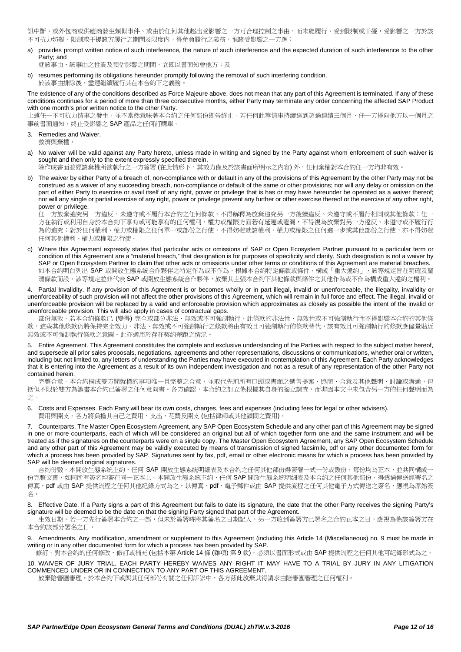訊中斷、或外包商或供應商發生類似事件、或由於任何其他超出受影響之一方可合理控制之事由,而未能履行、受到限制或干擾,受影響之一方於該 不可抗力妨礙、限制或干擾該方履行之期間及限度内,得免負履行之義務,惟該受影響之一方應:

a) provides prompt written notice of such interference, the nature of such interference and the expected duration of such interference to the other Party; and

就該事由、該事由之性質及預估影響之期間,立即以書面知會他方;及

resumes performing its obligations hereunder promptly following the removal of such interfering condition. 於該事由排除後,盡速繼續履行其在本合約下之義務

The existence of any of the conditions described as Force Majeure above, does not mean that any part of this Agreement is terminated. If any of these conditions continues for a period of more than three consecutive months, either Party may terminate any order concerning the affected SAP Product with one month's prior written notice to the other Party.

上述任一不可抗力情事之發生,並不當然意味著本合約之任何部份即告終止。若任何此等情事持續達到超過連續三個月,任一方得向他方以一個月之 事前書面通知,終止受影響之 SAP 產品之任何訂購單。

- 3. Remedies and Waiver. 救濟與棄權。
- a) No waiver will be valid against any Party hereto, unless made in writing and signed by the Party against whom enforcement of such waiver is sought and then only to the extent expressly specified therein.

除作成書面並經該棄權所欲執行之一方簽署 (在此情形下,其效力僅及於該書面所明示之內容) 外,任何棄權對本合約任一方均非有效。

b) The waiver by either Party of a breach of, non-compliance with or default in any of the provisions of this Agreement by the other Party may not be construed as a waiver of any succeeding breach, non-compliance or default of the same or other provisions; nor will any delay or omission on the part of either Party to exercise or avail itself of any right, power or privilege that is has or may have hereunder be operated as a waiver thereof; nor will any single or partial exercise of any right, power or privilege prevent any further or other exercise thereof or the exercise of any other right, power or privilege.

任一方放棄追究另一方違反、未遵守或不履行本合約之任何條款,不得解釋為放棄追究另一方後續違反、未遵守或不履行相同或其他條款;任一 方在執行或利用自身於本合約下享有或可能享有的任何權利、權力或權限方面若有延遲或遺漏,不得視為放棄對另一方違反、未遵守或不履行行 為的追究;對於任何權利、權力或權限之任何單一或部份之行使,不得妨礙就該權利、權力或權限之任何進一步或其他部份之行使,亦不得妨礙 任何其他權利、權力或權限之行使。

c) Where this Agreement expressly states that particular acts or omissions of SAP or Open Ecosystem Partner pursuant to a particular term or condition of this Agreement are a "material breach," that designation is for purposes of specificity and clarity. Such designation is not a waiver by SAP or Open Ecosystem Partner to claim that other acts or omissions under other terms or conditions of this Agreement are material breaches. 如本合約明白列出 SAP 或開放生態系統合作夥伴之特定作為或不作為,根據本合約特定條款或條件,構成「重大違約」,該等規定旨在明確及釐 清條款而設。該等規定並非代表 SAP 或開放生態系統合作夥伴,放棄其主張本合約下其他條款與條件之其他作為或不作為構成重大違約之權利。

#### <span id="page-11-1"></span>4. Partial Invalidity. If any provision of this Agreement is or becomes wholly or in part illegal, invalid or unenforceable, the illegality, invalidity or unenforceability of such provision will not affect the other provisions of this Agreement, which will remain in full force and effect. The illegal, invalid or unenforceable provision will be replaced by a valid and enforceable provision which approximates as closely as possible the intent of the invalid or unenforceable provision. This will also apply in cases of contractual gaps.

部份無效。若本合約條款已 (變得) 完全或部分非法、無效或不可強制執行,此條款的非法性、無效性或不可強制執行性不得影響本合約的其他條 款,這些其他條款仍將保持完全效力。非法、無效或不可強制執行之條款將由有效且可強制執行的條款替代,該有效且可強制執行的條款應儘量貼近 無效或不可強制執行條款之意圖。此亦適用於存在契約差距之情況

5. Entire Agreement. This Agreement constitutes the complete and exclusive understanding of the Parties with respect to the subject matter hereof, and supersede all prior sales proposals, negotiations, agreements and other representations, discussions or communications, whether oral or written, including but not limited to, any letters of understanding the Parties may have executed in contemplation of this Agreement. Each Party acknowledges that it is entering into the Agreement as a result of its own independent investigation and not as a result of any representation of the other Party not contained herein.

完整合意。本合約構成雙方間就標的事項唯一且完整之合意,並取代先前所有口頭或書面之銷售提案、協商、合意及其他聲明、討論或溝通,包 括但不限於雙方為籌書本合約已簽署之任何意向書。各方確認,本合約之訂立係根據其自身的獨立調查,而非因本文中未包含另一方的任何聲明而為 之。

6. Costs and Expenses. Each Party will bear its own costs, charges, fees and expenses (including fees for legal or other advisers). 費用與開支。各方將負擔其自己之費用、支出、花費及開支 (包括律師或其他顧問之費用)

7. Counterparts. The Master Open Ecosystem Agreement, any SAP Open Ecosystem Schedule and any other part of this Agreement may be signed in one or more counterparts, each of which will be considered an original but all of which together form one and the same instrument and will be treated as if the signatures on the counterparts were on a single copy. The Master Open Ecosystem Agreement, any SAP Open Ecosystem Schedule and any other part of this Agreement may be validly executed by means of transmission of signed facsimile, pdf or any other documented form for which a process has been provided by SAP. Signatures sent by fax, pdf, email or other electronic means for which a process has been provided by SAP will be deemed original signatures.

合約份數。本開放生態系統主約、任何 SAP 開放生態系統明細表及本合約之任何其他部份得簽署一式一份或數份,每份均為正本,並共同構成一 份完整文書,如同所有簽名均簽在同一正本上。本開放生態系統主約、任何 SAP 開放生態系統明細表及本合約之任何其他部份,得透過傳送經署名之 傳真、pdf 或由 SAP 提供流程之任何其他紀錄方式為之。以傳真、pdf、電子郵件或由 SAP 提供流程之任何其他電子方式傳送之簽名,應視為原始簽 名。

8. Effective Date. If a Party signs a part of this Agreement but fails to date its signature, the date that the other Party receives the signing Party's signature will be deemed to be the date on that the signing Party signed that part of the Agreement.

生效日期。若一方先行簽署本合約之一部,但未於簽署時將其簽名之日期記入,另一方收到簽署方已署名之合約正本之日,應視為係該簽署方在 本合約該部分署名之日。

<span id="page-11-0"></span>9. Amendments. Any modification, amendment or supplement to this Agreement (including this [Article 14](#page-10-2) (Miscellaneous) no. [9](#page-11-0) must be made in writing or in any other documented form for which a process has been provided by SAP.

修訂。對本合約的任何修改、修訂或補充 (包括本第 [Article 14](#page-10-2) 條 (雜項) 第 [9](#page-11-0) 款), 必須以書面形式或由 SAP 提供流程之任何其他可紀錄形式為之。

<span id="page-11-2"></span>10. WAIVER OF JURY TRIAL. EACH PARTY HEREBY WAIVES ANY RIGHT IT MAY HAVE TO A TRIAL BY JURY IN ANY LITIGATION COMMENCED UNDER OR IN CONNECTION TO ANY PART OF THIS AGREEMENT.

放棄陪審團審理。於本合約下或與其任何部份有關之任何訴訟中,各方茲此放棄其得請求由陪審團審理之任何權利。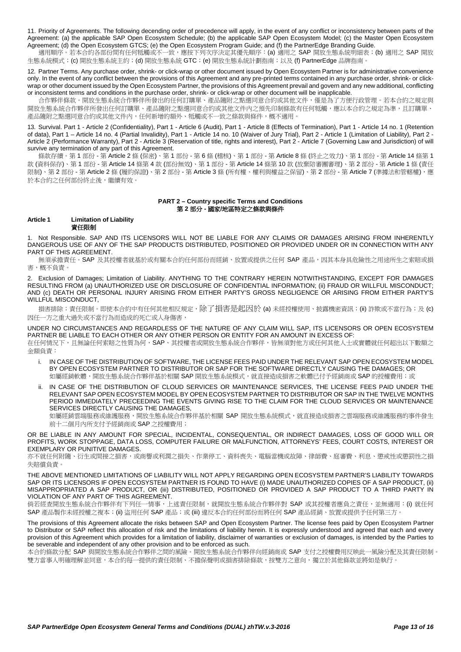11. Priority of Agreements. The following decending order of precedence will apply, in the event of any conflict or inconsistency between parts of the Agreement: (a) the applicable SAP Open Ecosystem Schedule; (b) the applicable SAP Open Ecosystem Model; (c) the Master Open Ecosystem Agreement; (d) the Open Ecosystem GTCS; (e) the Open Ecosystem Program Guide; and (f) the PartnerEdge Branding Guide.

適用順序。若本合約各部份間有任何牴觸或不一致,應按下列次序決定其優先順序: (a) 適用之 SAP 開放生態系統明細表; (b) 適用之 SAP 開放 生態系統模式;(c) 開放生態系統主約;(d) 開放生態系統 GTC;(e) 開放生態系統計劃指南;以及 (f) PartnerEdge 品牌指南

12. Partner Terms. Any purchase order, shrink- or click-wrap or other document issued by Open Ecosystem Partner is for administrative convenience only. In the event of any conflict between the provisions of this Agreement and any pre-printed terms contained in any purchase order, shrink- or clickwrap or other document issued by the Open Ecosystem Partner, the provisions of this Agreement prevail and govern and any new additional, conflicting or inconsistent terms and conditions in the purchase order, shrink- or click-wrap or other document will be inapplicable.

合作夥伴條款。開放生態系統合作夥伴所發出的任何訂購單、產品隨附之點選同意合約或其他文件,僅是為了方便行政管理。若本合約之規定與 開放生態系統合作夥伴所發出任何訂購單、產品隨附之點選同意合約或其他文件內之預先印制條款有任何牴觸,應以本合約之規定為準,且訂購單、 產品隨附之點選同意合約或其他文件內,任何新增的額外、牴觸或不一致之條款與條件,概不適用。

13. Survival. Part 1 - [Article 2](#page-3-0) (Confidentiality), Part 1 - [Article 6](#page-6-3) (Audit), Part 1 - [Article 8](#page-7-0) (Effects of Termination), Part 1 - [Article 14](#page-10-2) no[. 1](#page-10-3) (Retention of data), Part 1 – [Article 14](#page-10-2) no. [4](#page-11-1) (Partial Invalidity), Part 1 - [Article 14](#page-10-2) no. [10](#page-11-2) (Waiver of Jury Trial), Part 2 - [Article 1](#page-12-0) (Limitation of Liability), Part 2 - [Article 2](#page-13-1) (Performance Warranty), Part 2 - [Article 3](#page-13-0) (Reservation of title, rights and interest), Part 2 - [Article 7](#page-15-0) (Governing Law and Jurisdiction) of will survive any termination of any part of this Agreement.

條款存續。第 1 部份 - 第 [Article 2](#page-3-0) 條 (保密)、第 1 部份 - 第 6 條 (稽核)、第 1 部份 - 第 [Article 8](#page-7-0) 條 (終止之效力)、第 1 部份 - 第 [Article 14](#page-10-2) 條第 [1](#page-10-3) 款 (資料保存)、第 1 部份 - 第 [Article 14](#page-10-2) 條第 [4](#page-11-1) 款 (部份無效)、第 1 部份 - 第 [Article 14](#page-10-2) 條第 [10](#page-11-2) 款 (放棄陪審團審理)、第 2 部份 - 第 [Article 1](#page-12-0) 條 (責任 限制)、第 2部份 - 第 [Article 2](#page-13-1) 條 (履約保證)、第 2 部份 - 第 [Article 3](#page-13-0) 條 (所有權、權利與權益之保留)、第 2 部份 - 第 [Article 7](#page-15-0) (準據法和管轄權), 應 於本合約之任何部份終止後,繼續有效。

# **PART 2 – Country specific Terms and Conditions** 第 **2** 部分 **-** 國家**/**地區特定之條款與條件

# <span id="page-12-0"></span>**Article 1 Limitation of Liability** 責任限制

1. Not Responsible. SAP AND ITS LICENSORS WILL NOT BE LIABLE FOR ANY CLAIMS OR DAMAGES ARISING FROM INHERENTLY DANGEROUS USE OF ANY OF THE SAP PRODUCTS DISTRIBUTED, POSITIONED OR PROVIDED UNDER OR IN CONNECTION WITH ANY PART OF THIS AGREEMENT.

無須承擔責任。SAP 及其授權者就基於或有關本合約任何部份而經銷、放置或提供之任何 SAP 產品,因其本身具危險性之用途所生之索賠或損 害,概不負責。

<span id="page-12-1"></span>2. Exclusion of Damages; Limitation of Liability. ANYTHING TO THE CONTRARY HEREIN NOTWITHSTANDING, EXCEPT FOR DAMAGES RESULTING FROM (a) UNAUTHORIZED USE OR DISCLOSURE OF CONFIDENTIAL INFORMATION; (ii) FRAUD OR WILLFUL MISCONDUCT; AND (c) DEATH OR PERSONAL INJURY ARISING FROM EITHER PARTY'S GROSS NEGLIGENCE OR ARISING FROM EITHER PARTY'S WILLFUL MISCONDUCT,

損害排除;責任限制。即使本合約中有任何其他相反規定,除了損害是起因於 (a) 未經授權使用、披露機密資訊;(ii) 詐欺或不當行為;及 (c) 因任一方之重大過失或不當行為而造成的死亡或人身傷害,

UNDER NO CIRCUMSTANCES AND REGARDLESS OF THE NATURE OF ANY CLAIM WILL SAP, ITS LICENSORS OR OPEN ECOSYSTEM PARTNER BE LIABLE TO EACH OTHER OR ANY OTHER PERSON OR ENTITY FOR AN AMOUNT IN EXCESS OF: 在任何情況下,且無論任何索賠之性質為何,SAP、其授權者或開放生態系統合作夥伴,皆無須對他方或任何其他人士或實體就任何超出以下數額之 金額負責:

- i. IN CASE OF THE DISTRIBUTION OF SOFTWARE, THE LICENSE FEES PAID UNDER THE RELEVANT SAP OPEN ECOSYSTEM MODEL BY OPEN ECOSYSTEM PARTNER TO DISTRIBUTOR OR SAP FOR THE SOFTWARE DIRECTLY CAUSING THE DAMAGES; OR 如屬經銷軟體,開放生態系統合作夥伴基於相關 SAP 開放生態系統模式,就直接造成損害之軟體已付予經銷商或 SAP 的授權費用;或
- ii. IN CASE OF THE DISTRIBUTION OF CLOUD SERVICES OR MAINTENANCE SERVICES, THE LICENSE FEES PAID UNDER THE RELEVANT SAP OPEN ECOSYSTEM MODEL BY OPEN ECOSYSTEM PARTNER TO DISTRIBUTOR OR SAP IN THE TWELVE MONTHS PERIOD IMMEDIATELY PRECEEDING THE EVENTS GIVING RISE TO THE CLAIM FOR THE CLOUD SERVICES OR MAINTENANCE SERVICES DIRECTLY CAUSING THE DAMAGES,

如屬經銷雲端服務或維護服務,開放生態系統合作夥伴基於相關 SAP 開放生態系統模式,就直接造成損害之雲端服務或維護服務的事件發生 前十二個月內所支付予經銷商或 SAP 之授權費用;

OR BE LIABLE IN ANY AMOUNT FOR SPECIAL, INCIDENTAL, CONSEQUENTIAL, OR INDIRECT DAMAGES, LOSS OF GOOD WILL OR PROFITS, WORK STOPPAGE, DATA LOSS, COMPUTER FAILURE OR MALFUNCTION, ATTORNEYS' FEES, COURT COSTS, INTEREST OR EXEMPLARY OR PUNITIVE DAMAGES.

亦不就任何附隨、衍生或間接之損害,或商譽或利潤之損失、作業停工、資料喪失、電腦當機或故障、律師費、庭審費、利息、懲戒性或懲罰性之損 失賠償負責。

THE ABOVE MENTIONED LIMITATIONS OF LIABILITY WILL NOT APPLY REGARDING OPEN ECOSYSTEM PARTNER'S LIABILITY TOWARDS SAP OR ITS LICENSORS IF OPEN ECOSYSTEM PARTNER IS FOUND TO HAVE (i) MADE UNAUTHORIZED COPIES OF A SAP PRODUCT, (ii) MISAPPROPRIATED A SAP PRODUCT, OR (iii) DISTRIBUTED, POSITIONED OR PROVIDED A SAP PRODUCT TO A THIRD PARTY IN VIOLATION OF ANY PART OF THIS AGREEMENT.

倘若經查開放生態系統合作夥伴有下列任一情事,上述責任限制,就開放生態系統合作夥伴對 SAP 或其授權者應負之責任,並無適用:(i) 就任何 SAP 產品製作未經授權之複本;(ii) 盜用任何 SAP 產品;或 (iii) 違反本合約任何部份而將任何 SAP 產品經銷、放置或提供予任何第三方

The provisions of this Agreement allocate the risks between SAP and Open Ecosystem Partner. The license fees paid by Open Ecosystem Partner to Distributor or SAP reflect this allocation of risk and the limitations of liability herein. It is expressly understood and agreed that each and every provision of this Agreement which provides for a limitation of liability, disclaimer of warranties or exclusion of damages, is intended by the Parties to be severable and independent of any other provision and to be enforced as such.

本合約條款分配 SAP 與開放生態系統合作夥伴之間的風險。開放生態系統合作夥伴向經銷商或 SAP 支付之授權費用反映此一風險分配及其責任限制。 雙方當事人明確理解並同意,本合約每一提供的責任限制、不擔保聲明或損害排除條款,按雙方之意向,獨立於其他條款並將如是執行。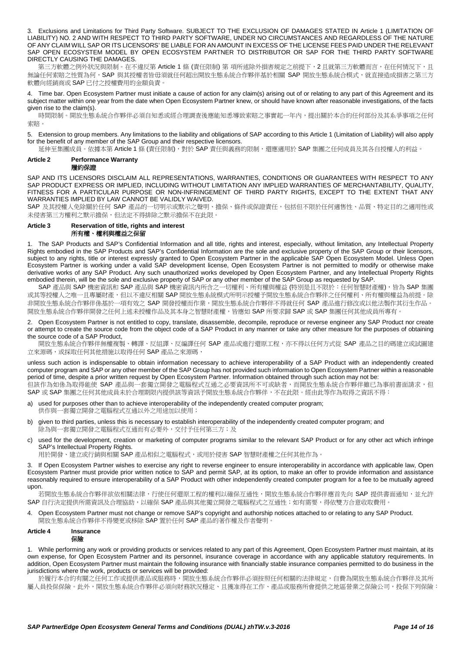3. Exclusions and Limitations for Third Party Software. SUBJECT TO THE EXCLUSION OF DAMAGES STATED IN [Article 1](#page-12-0) (LIMITATION OF LIABILITY) NO[. 2](#page-12-1) AND WITH RESPECT TO THIRD PARTY SOFTWARE, UNDER NO CIRCUMSTANCES AND REGARDLESS OF THE NATURE OF ANY CLAIM WILL SAP OR ITS LICENSORS' BE LIABLE FOR AN AMOUNT IN EXCESS OF THE LICENSE FEES PAID UNDER THE RELEVANT SAP OPEN ECOSYSTEM MODEL BY OPEN ECOSYSTEM PARTNER TO DISTRIBUTOR OR SAP FOR THE THIRD PARTY SOFTWARE DIRECTLY CAUSING THE DAMAGES.

第三方軟體之例外狀況與限制。在不違反第 [Article 1](#page-12-0) 條 (責任限制) 第 項所述除外損害規定之前提下,[2](#page-12-1) 且就第三方軟體而言,在任何情況下,且 無論任何索賠之性質為何,SAP 與其授權者皆毋須就任何超出開放生態系統合作夥伴基於相關 SAP 開放生態系統合模式,就直接造成損害之第三方 軟體向經銷商或 SAP 已付之授權費用的金額負責。

4. Time bar. Open Ecosystem Partner must initiate a cause of action for any claim(s) arising out of or relating to any part of this Agreement and its subject matter within one year from the date when Open Ecosystem Partner knew, or should have known after reasonable investigations, of the facts given rise to the claim(s).

時間限制。開放生態系統合作夥伴必須自知悉或經合理調查後應能知悉導致索賠之事實起一年內,提出關於本合約任何部份及其系爭事項之任何 索賠。

5. Extension to group members. Any limitations to the liability and obligations of SAP according to thi[s Article 1](#page-12-0) (Limitation of Liability) will also apply for the benefit of any member of the SAP Group and their respective licensors.

延伸至集團成員。依據本第 [Article 1](#page-12-0) 條 (責任限制),對於 SAP 責任與義務的限制,還應適用於 SAP 集團之任何成員及其各自授權人的利益。

#### <span id="page-13-1"></span>**Article 2 Performance Warranty** 履約保證

SAP AND ITS LICENSORS DISCLAIM ALL REPRESENTATIONS, WARRANTIES, CONDITIONS OR GUARANTEES WITH RESPECT TO ANY SAP PRODUCT EXPRESS OR IMPLIED, INCLUDING WITHOUT LIMITATION ANY IMPLIED WARRANTIES OF MERCHANTABILITY, QUALITY, FITNESS FOR A PARTICULAR PURPOSE OR NON-INFRINGEMENT OF THIRD PARTY RIGHTS, EXCEPT TO THE EXTENT THAT ANY WARRANTIES IMPLIED BY LAW CANNOT BE VALIDLY WAIVED.

SAP 及其授權人免除關於任何 SAP 產品的一切明示或默示之聲明、擔保、條件或保證責任,包括但不限於任何適售性、品質、特定目的之適用性或 未侵害第三方權利之默示擔保,但法定不得排除之默示擔保不在此限。

## <span id="page-13-0"></span>**Article 3 Reservation of title, rights and interest** 所有權、權利與權益之保留

1. The SAP Products and SAP's Confidential Information and all title, rights and interest, especially, without limitation, any Intellectual Property Rights embodied in the SAP Products and SAP's Confidential Information are the sole and exclusive property of the SAP Group or their licensors, subject to any rights, title or interest expressly granted to Open Ecosystem Partner in the applicable SAP Open Ecosystem Model. Unless Open Ecosystem Partner is working under a valid SAP development license, Open Ecosystem Partner is not permitted to modify or otherwise make derivative works of any SAP Product. Any such unauthorized works developed by Open Ecosystem Partner, and any Intellectual Property Rights embodied therein, will be the sole and exclusive property of SAP or any other member of the SAP Group as requested by SAP.

SAP 產品與 SAP 機密資訊和 SAP 產品與 SAP 機密資訊內所含之一切權利、所有權與權益 (特別是且不限於:任何智慧財產權),皆為 SAP 集團 或其等授權人之唯一且專屬財產,但以不違反相關 SAP 開放生態系統模式所明示授權予開放生態系統合作夥伴之任何權利、所有權與權益為前提。除 非開放生態系統合作夥伴係基於一項有效之 SAP 開發授權而作業,開放生態系統合作夥伴不得就任何 SAP 產品進行修改或以他法製作其衍生作品。 開放生態系統合作夥伴開發之任何上述未授權作品及其本身之智慧財產權,皆應如 SAP 所要求歸 SAP 或 SAP 集團任何其他成員所專有。

2. Open Ecosystem Partner is not entitled to copy, translate, disassemble, decompile, reproduce or reverse engineer any SAP Product nor create or attempt to create the source code from the object code of a SAP Product in any manner or take any other measure for the purposes of obtaining the source code of a SAP Product,

開放生態系統合作夥伴無權複製、轉譯、反組譯、反編譯任何 SAP 產品或進行還原工程,亦不得以任何方式從 SAP 產品之目的碼建立或試圖建 立來源碼,或採取任何其他措施以取得任何 SAP 產品之來源碼

unless such action is indispensable to obtain information necessary to achieve interoperability of a SAP Product with an independently created computer program and SAP or any other member of the SAP Group has not provided such information to Open Ecosystem Partner within a reasonable period of time, despite a prior written request by Open Ecosystem Partner. Information obtained through such action may not be: 但該作為如係為取得能使 SAP 產品與一套獨立開發之電腦程式互通之必要資訊所不可或缺者,而開放生態系統合作夥伴雖已為事前書面請求,但 SAP 或 SAP 集團之任何其他成員未於合理期限內提供該等資訊予開放生態系統合作夥伴,不在此限。經由此等作為取得之資訊不得:

- used for purposes other than to achieve interoperability of the independently created computer program; 供作與一套獨立開發之電腦程式互通以外之用途加以使用;
- b) given to third parties, unless this is necessary to establish interoperability of the independently created computer program; and 除為與一套獨立開發之電腦程式互通而有必要外,交付予任何第三方;及
- c) used for the development, creation or marketing of computer programs similar to the relevant SAP Product or for any other act which infringe SAP's Intellectual Property Rights.

用於開發、建立或行銷與相關 SAP 產品相似之電腦程式,或用於侵害 SAP 智慧財產權之任何其他作為。

3. If Open Ecosystem Partner wishes to exercise any right to reverse engineer to ensure interoperability in accordance with applicable law, Open Ecosystem Partner must provide prior written notice to SAP and permit SAP, at its option, to make an offer to provide information and assistance reasonably required to ensure interoperability of a SAP Product with other independently created computer program for a fee to be mutually agreed upon.

若開放生態系統合作夥伴欲依相關法律,行使任何還原工程的權利以確保互通性,開放生態系統合作夥伴應首先向 SAP 提供書面通知,並允許 SAP 自行決定提供所需資訊及合理協助,以確保 SAP 產品與其他獨立開發之電腦程式之互通性;如有需要,得依雙方合意收取費用。

4. Open Ecosystem Partner must not change or remove SAP's copyright and authorship notices attached to or relating to any SAP Product. 開放生態系統合作夥伴不得變更或移除 SAP 置於任何 SAP 產品的著作權及作者聲明。

#### **Article 4 Insurance** 保險

1. While performing any work or providing products or services related to any part of this Agreement, Open Ecosystem Partner must maintain, at its own expense, for Open Ecosystem Partner and its personnel, insurance coverage in accordance with any applicable statutory requirements. In addition, Open Ecosystem Partner must maintain the following insurance with financially stable insurance companies permitted to do business in the jurisdictions where the work, products or services will be provided:

於履行本合約有關之任何工作或提供產品或服務時,開放生態系統合作夥伴必須按照任何相關的法律規定,自費為開放生態系統合作夥伴及其所 屬人員投保保險。此外,開放生態系統合作夥伴必須向財務狀況穩定、且獲准得在工作、產品或服務所會提供之地區營業之保險公司,投保下列保險: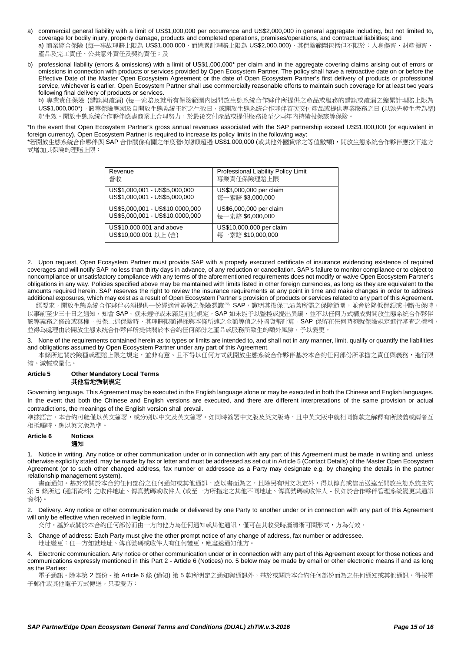- a) commercial general liability with a limit of US\$1,000,000 per occurrence and US\$2,000,000 in general aggregate including, but not limited to, coverage for bodily injury, property damage, products and completed operations, premises/operations, and contractual liabilities; and a) 商業綜合保險 (每一事故理賠上限為 US\$1,000,000,而總累計理賠上限為 US\$2,000,000),其保險範圍包括但不限於:人身傷害、財產損害、 產品及完工責任、公共意外責任及契約責任;及
- b) professional liability (errors & omissions) with a limit of US\$1,000,000\* per claim and in the aggregate covering claims arising out of errors or omissions in connection with products or services provided by Open Ecosystem Partner. The policy shall have a retroactive date on or before the Effective Date of the Master Open Ecosystem Agreement or the date of Open Ecosystem Partner's first delivery of products or professional service, whichever is earlier. Open Ecosystem Partner shall use commercially reasonable efforts to maintain such coverage for at least two years following final delivery of products or services.

b) 專業責任保險 (錯誤與疏漏) (每一索賠及就所有保險範圍內因開放生態系統合作夥伴所提供之產品或服務的錯誤或疏漏之總累計理賠上限為 US\$1,000,000\*)。該等保險應溯及自開放生態系統主約之生效日,或開放生態系統合作夥伴首次交付產品或提供專業服務之日 (以孰先發生者為準) 起生效。開放生態系統合作夥伴應盡商業上合理努力,於最後交付產品或提供服務後至少兩年內持續投保該等保險。

\*In the event that Open Ecosystem Partner's gross annual revenues associated with the SAP partnership exceed US\$1,000,000 (or equivalent in foreign currency), Open Ecosystem Partner is required to increase its policy limits in the following way:

\*若開放生態系統合作夥伴與 SAP 合作關係有關之年度營收總額超過 US\$1,000,000 (或其他外國貨幣之等值數額),開放生態系統合作夥伴應按下述方 式增加其保險的理賠上限:

| Revenue                         | Professional Liability Policy Limit |
|---------------------------------|-------------------------------------|
|                                 |                                     |
| 營收                              | 專業責任保險理賠上限                          |
|                                 |                                     |
| US\$1,000,001 - US\$5,000,000   | US\$3,000,000 per claim             |
|                                 |                                     |
| US\$1,000,001 - US\$5,000,000   | 每一索賠 \$3,000,000                    |
|                                 |                                     |
| US\$5,000,001 - US\$10,0000,000 | US\$6,000,000 per claim             |
|                                 |                                     |
| US\$5,000,001 - US\$10,0000,000 | 每一索賠 \$6,000,000                    |
|                                 |                                     |
| US\$10,000,001 and above        | US\$10,000,000 per claim            |
|                                 |                                     |
| US\$10,000,001 以上 (含)           | 每一索賠 \$10,000,000                   |
|                                 |                                     |
|                                 |                                     |

2. Upon request, Open Ecosystem Partner must provide SAP with a properly executed certificate of insurance evidencing existence of required coverages and will notify SAP no less than thirty days in advance, of any reduction or cancellation. SAP's failure to monitor compliance or to object to noncompliance or unsatisfactory compliance with any terms of the aforementioned requirements does not modify or waive Open Ecosystem Partner's obligations in any way. Policies specified above may be maintained with limits listed in other foreign currencies, as long as they are equivalent to the amounts required herein. SAP reserves the right to review the insurance requirements at any point in time and make changes in order to address additional exposures, which may exist as a result of Open Ecosystem Partner's provision of products or services related to any part of this Agreement.

經要求,開放生態系統合作夥伴必須提供一份經適當簽署之保險憑證予 SAP,證明其投保已涵蓋所需之保障範圍,並會於降低保額或中斷投保時 以事前至少三十日之通知,知會 SAP。就未遵守或未滿足前述規定, SAP 如未能予以監控或提出異議,並不以任何方式構成對開放生態系統合作夥伴 該等義務之修改或棄權。投保上述保險時,其理賠限額得採與本條所述之金額等值之外國貨幣計算。SAP 保留在任何時刻就保險規定進行審查之權利, 並得為處理由於開放生態系統合作夥伴所提供關於本合約任何部份之產品或服務所致生的額外風險,予以變更

3. None of the requirements contained herein as to types or limits are intended to, and shall not in any manner, limit, qualify or quantify the liabilities and obligations assumed by Open Ecosystem Partner under any part of this Agreement.

。<br>本條所述關於險種或理賠上限之規定,並非有意、且不得以任何方式就開放生態系統合作夥伴基於本合約任何部份所承擔之責任與義務,進行限 縮、減輕或量化。

## **Article 5 Other Mandatory Local Terms** 其他當地強制規定

Governing language. This Agreement may be executed in the English language alone or may be executed in both the Chinese and English languages. In the event that both the Chinese and English versions are executed, and there are different interpretations of the same provision or actual contradictions, the meanings of the English version shall prevail.

準據語言。本合約可能僅以英文發署,或分別以中文及英文簽署。如同時簽署中文版及英文版時,且中英文版中就相同條款之解釋有所歧義或兩者互 相抵觸時,應以英文版為準。

<span id="page-14-0"></span>

| Article 6 | <b>Notices</b> |
|-----------|----------------|
|           | 通知             |

1. Notice in writing. Any notice or other communication under or in connection with any part of this Agreement must be made in writing and, unless otherwise explicitly stated, may be made by fax or letter and must be addressed as set out in Article 5 (Contact Details) of the Master Open Ecosystem Agreement (or to such other changed address, fax number or addressee as a Party may designate e.g. by changing the details in the partner relationship management system).

書面通知。基於或關於本合約任何部份之任何通知或其他通訊,應以書面為之,且除另有明文規定外,得以傳真或信函送達至開放生態系統主約 第 5 條所述 (通訊資料) 之收件地址、傳真號碼或收件人 (或至一方所指定之其他不同地址、傳真號碼或收件人 - 例如於合作夥伴管理系統變更其通訊 資料)。

2. Delivery. Any notice or other communication made or delivered by one Party to another under or in connection with any part of this Agreement will only be effective when received in legible form.

交付。基於或關於本合約任何部份而由一方向他方為任何通知或其他通訊,僅可在其收受時屬清晰可閱形式,方為有效。

- 3. Change of address: Each Party must give the other prompt notice of any change of address, fax number or addressee.
	- 地址變更:任一方如就地址、傳真號碼或收件人有任何變更,應盡速通知他方。

4. Electronic communication. Any notice or other communication under or in connection with any part of this Agreement except for those notices and communications expressly mentioned in this Part 2 - [Article 6](#page-14-0) (Notices) no. [5](#page-15-1) below may be made by email or other electronic means if and as long as the Parties:

電子通訊。除本第 2 部份 - 第 [Article 6](#page-14-0) 條 (通知) 第 [5](#page-15-1) 款所明定之通知與通訊外,基於或關於本合約任何部份而為之任何通知或其他通訊,得採電 子郵件或其他電子方式傳送,只要雙方: